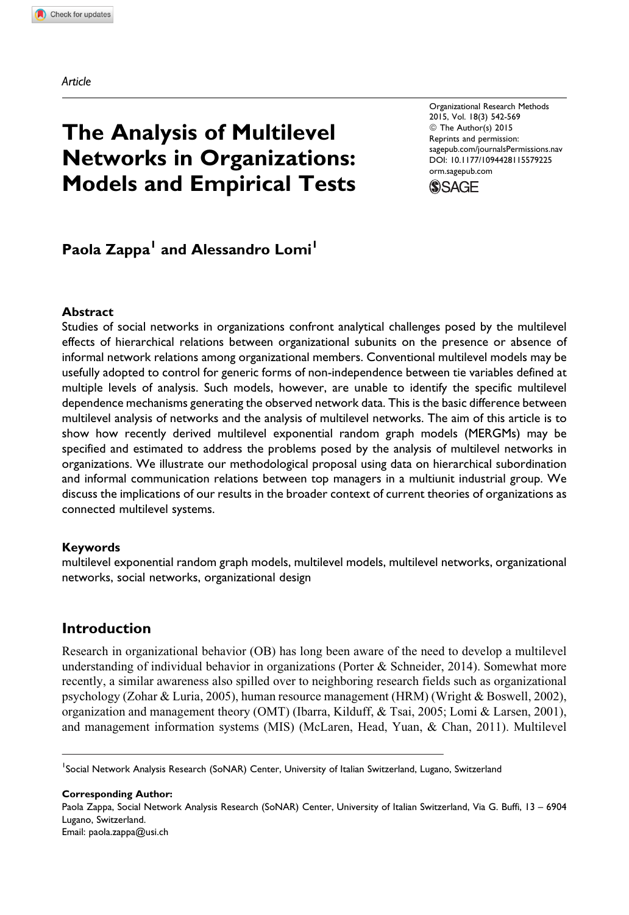# The Analysis of Multilevel Networks in Organizations: Models and Empirical Tests

Organizational Research Methods 2015, Vol. 18(3) 542-569 © The Author(s) 2015 Reprints and permission: [sagepub.com/journalsPermissions.nav](http://www.sagepub.com/journalsPermissions.nav) DOI: 10.1177/1094428115579225 [orm.sagepub.com](http://orm.sagepub.com)



# Paola Zappa<sup>1</sup> and Alessandro Lomi<sup>1</sup>

#### Abstract

Studies of social networks in organizations confront analytical challenges posed by the multilevel effects of hierarchical relations between organizational subunits on the presence or absence of informal network relations among organizational members. Conventional multilevel models may be usefully adopted to control for generic forms of non-independence between tie variables defined at multiple levels of analysis. Such models, however, are unable to identify the specific multilevel dependence mechanisms generating the observed network data. This is the basic difference between multilevel analysis of networks and the analysis of multilevel networks. The aim of this article is to show how recently derived multilevel exponential random graph models (MERGMs) may be specified and estimated to address the problems posed by the analysis of multilevel networks in organizations. We illustrate our methodological proposal using data on hierarchical subordination and informal communication relations between top managers in a multiunit industrial group. We discuss the implications of our results in the broader context of current theories of organizations as connected multilevel systems.

#### Keywords

multilevel exponential random graph models, multilevel models, multilevel networks, organizational networks, social networks, organizational design

# Introduction

Research in organizational behavior (OB) has long been aware of the need to develop a multilevel understanding of individual behavior in organizations (Porter & Schneider, 2014). Somewhat more recently, a similar awareness also spilled over to neighboring research fields such as organizational psychology (Zohar & Luria, 2005), human resource management (HRM) (Wright & Boswell, 2002), organization and management theory (OMT) (Ibarra, Kilduff, & Tsai, 2005; Lomi & Larsen, 2001), and management information systems (MIS) (McLaren, Head, Yuan, & Chan, 2011). Multilevel

Corresponding Author: Paola Zappa, Social Network Analysis Research (SoNAR) Center, University of Italian Switzerland, Via G. Buffi, 13 – 6904 Lugano, Switzerland. Email: paola.zappa@usi.ch

<sup>&</sup>lt;sup>1</sup>Social Network Analysis Research (SoNAR) Center, University of Italian Switzerland, Lugano, Switzerland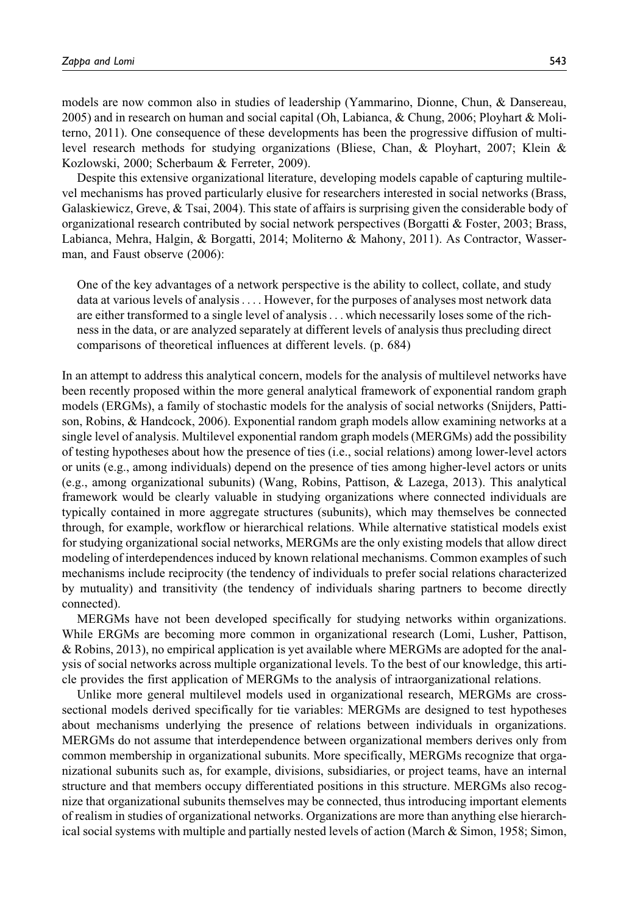models are now common also in studies of leadership (Yammarino, Dionne, Chun, & Dansereau, 2005) and in research on human and social capital (Oh, Labianca, & Chung, 2006; Ployhart & Moliterno, 2011). One consequence of these developments has been the progressive diffusion of multilevel research methods for studying organizations (Bliese, Chan, & Ployhart, 2007; Klein & Kozlowski, 2000; Scherbaum & Ferreter, 2009).

Despite this extensive organizational literature, developing models capable of capturing multilevel mechanisms has proved particularly elusive for researchers interested in social networks (Brass, Galaskiewicz, Greve, & Tsai, 2004). This state of affairs is surprising given the considerable body of organizational research contributed by social network perspectives (Borgatti & Foster, 2003; Brass, Labianca, Mehra, Halgin, & Borgatti, 2014; Moliterno & Mahony, 2011). As Contractor, Wasserman, and Faust observe (2006):

One of the key advantages of a network perspective is the ability to collect, collate, and study data at various levels of analysis... . However, for the purposes of analyses most network data are either transformed to a single level of analysis... which necessarily loses some of the richness in the data, or are analyzed separately at different levels of analysis thus precluding direct comparisons of theoretical influences at different levels. (p. 684)

In an attempt to address this analytical concern, models for the analysis of multilevel networks have been recently proposed within the more general analytical framework of exponential random graph models (ERGMs), a family of stochastic models for the analysis of social networks (Snijders, Pattison, Robins, & Handcock, 2006). Exponential random graph models allow examining networks at a single level of analysis. Multilevel exponential random graph models (MERGMs) add the possibility of testing hypotheses about how the presence of ties (i.e., social relations) among lower-level actors or units (e.g., among individuals) depend on the presence of ties among higher-level actors or units (e.g., among organizational subunits) (Wang, Robins, Pattison, & Lazega, 2013). This analytical framework would be clearly valuable in studying organizations where connected individuals are typically contained in more aggregate structures (subunits), which may themselves be connected through, for example, workflow or hierarchical relations. While alternative statistical models exist for studying organizational social networks, MERGMs are the only existing models that allow direct modeling of interdependences induced by known relational mechanisms. Common examples of such mechanisms include reciprocity (the tendency of individuals to prefer social relations characterized by mutuality) and transitivity (the tendency of individuals sharing partners to become directly connected).

MERGMs have not been developed specifically for studying networks within organizations. While ERGMs are becoming more common in organizational research (Lomi, Lusher, Pattison, & Robins, 2013), no empirical application is yet available where MERGMs are adopted for the analysis of social networks across multiple organizational levels. To the best of our knowledge, this article provides the first application of MERGMs to the analysis of intraorganizational relations.

Unlike more general multilevel models used in organizational research, MERGMs are crosssectional models derived specifically for tie variables: MERGMs are designed to test hypotheses about mechanisms underlying the presence of relations between individuals in organizations. MERGMs do not assume that interdependence between organizational members derives only from common membership in organizational subunits. More specifically, MERGMs recognize that organizational subunits such as, for example, divisions, subsidiaries, or project teams, have an internal structure and that members occupy differentiated positions in this structure. MERGMs also recognize that organizational subunits themselves may be connected, thus introducing important elements of realism in studies of organizational networks. Organizations are more than anything else hierarchical social systems with multiple and partially nested levels of action (March & Simon, 1958; Simon,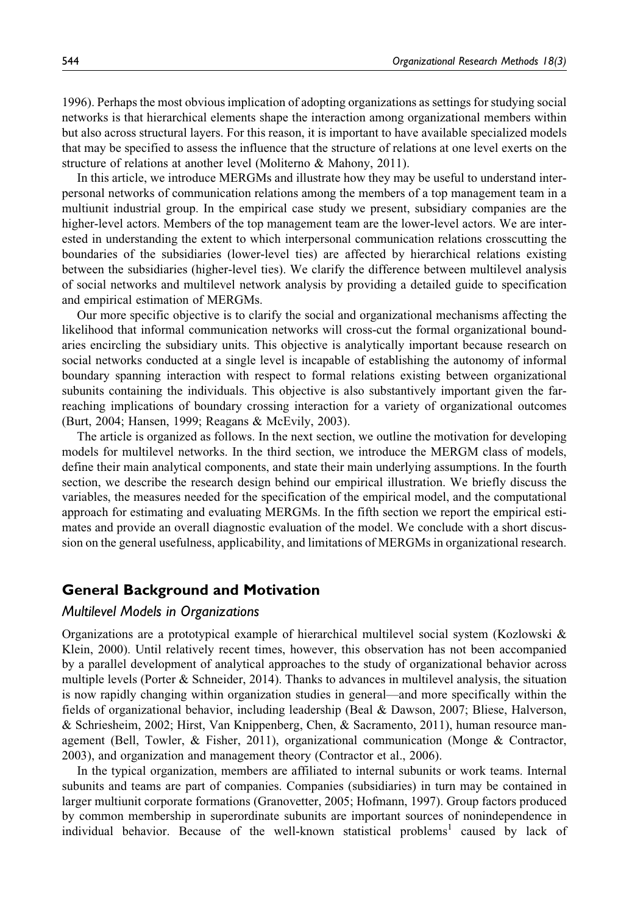1996). Perhaps the most obvious implication of adopting organizations as settings for studying social networks is that hierarchical elements shape the interaction among organizational members within but also across structural layers. For this reason, it is important to have available specialized models that may be specified to assess the influence that the structure of relations at one level exerts on the structure of relations at another level (Moliterno & Mahony, 2011).

In this article, we introduce MERGMs and illustrate how they may be useful to understand interpersonal networks of communication relations among the members of a top management team in a multiunit industrial group. In the empirical case study we present, subsidiary companies are the higher-level actors. Members of the top management team are the lower-level actors. We are interested in understanding the extent to which interpersonal communication relations crosscutting the boundaries of the subsidiaries (lower-level ties) are affected by hierarchical relations existing between the subsidiaries (higher-level ties). We clarify the difference between multilevel analysis of social networks and multilevel network analysis by providing a detailed guide to specification and empirical estimation of MERGMs.

Our more specific objective is to clarify the social and organizational mechanisms affecting the likelihood that informal communication networks will cross-cut the formal organizational boundaries encircling the subsidiary units. This objective is analytically important because research on social networks conducted at a single level is incapable of establishing the autonomy of informal boundary spanning interaction with respect to formal relations existing between organizational subunits containing the individuals. This objective is also substantively important given the farreaching implications of boundary crossing interaction for a variety of organizational outcomes (Burt, 2004; Hansen, 1999; Reagans & McEvily, 2003).

The article is organized as follows. In the next section, we outline the motivation for developing models for multilevel networks. In the third section, we introduce the MERGM class of models, define their main analytical components, and state their main underlying assumptions. In the fourth section, we describe the research design behind our empirical illustration. We briefly discuss the variables, the measures needed for the specification of the empirical model, and the computational approach for estimating and evaluating MERGMs. In the fifth section we report the empirical estimates and provide an overall diagnostic evaluation of the model. We conclude with a short discussion on the general usefulness, applicability, and limitations of MERGMs in organizational research.

# General Background and Motivation

# Multilevel Models in Organizations

Organizations are a prototypical example of hierarchical multilevel social system (Kozlowski & Klein, 2000). Until relatively recent times, however, this observation has not been accompanied by a parallel development of analytical approaches to the study of organizational behavior across multiple levels (Porter & Schneider, 2014). Thanks to advances in multilevel analysis, the situation is now rapidly changing within organization studies in general—and more specifically within the fields of organizational behavior, including leadership (Beal & Dawson, 2007; Bliese, Halverson, & Schriesheim, 2002; Hirst, Van Knippenberg, Chen, & Sacramento, 2011), human resource management (Bell, Towler, & Fisher, 2011), organizational communication (Monge & Contractor, 2003), and organization and management theory (Contractor et al., 2006).

In the typical organization, members are affiliated to internal subunits or work teams. Internal subunits and teams are part of companies. Companies (subsidiaries) in turn may be contained in larger multiunit corporate formations (Granovetter, 2005; Hofmann, 1997). Group factors produced by common membership in superordinate subunits are important sources of nonindependence in individual behavior. Because of the well-known statistical problems<sup>1</sup> caused by lack of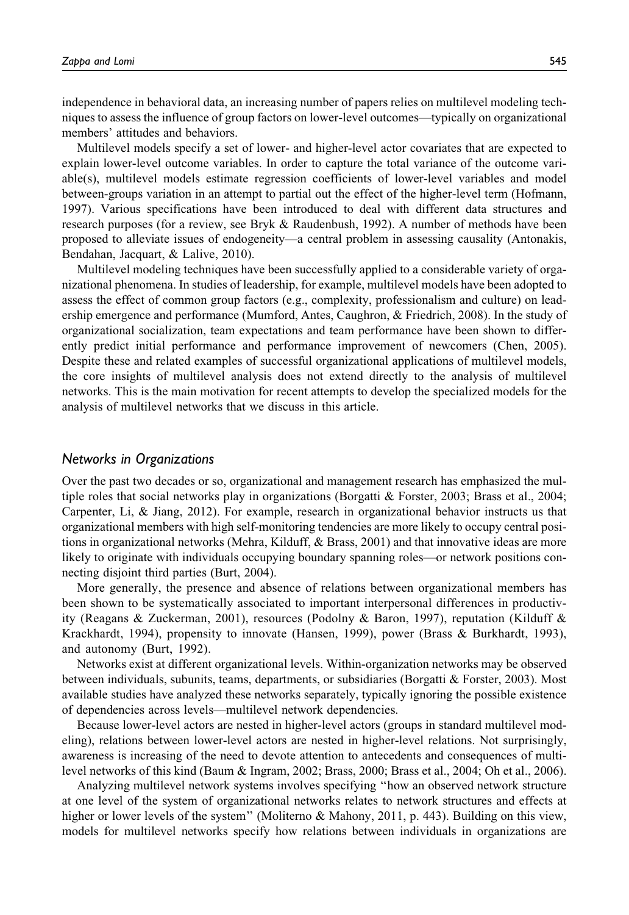Multilevel models specify a set of lower- and higher-level actor covariates that are expected to explain lower-level outcome variables. In order to capture the total variance of the outcome variable(s), multilevel models estimate regression coefficients of lower-level variables and model between-groups variation in an attempt to partial out the effect of the higher-level term (Hofmann, 1997). Various specifications have been introduced to deal with different data structures and research purposes (for a review, see Bryk & Raudenbush, 1992). A number of methods have been proposed to alleviate issues of endogeneity—a central problem in assessing causality (Antonakis, Bendahan, Jacquart, & Lalive, 2010).

Multilevel modeling techniques have been successfully applied to a considerable variety of organizational phenomena. In studies of leadership, for example, multilevel models have been adopted to assess the effect of common group factors (e.g., complexity, professionalism and culture) on leadership emergence and performance (Mumford, Antes, Caughron, & Friedrich, 2008). In the study of organizational socialization, team expectations and team performance have been shown to differently predict initial performance and performance improvement of newcomers (Chen, 2005). Despite these and related examples of successful organizational applications of multilevel models, the core insights of multilevel analysis does not extend directly to the analysis of multilevel networks. This is the main motivation for recent attempts to develop the specialized models for the analysis of multilevel networks that we discuss in this article.

#### Networks in Organizations

Over the past two decades or so, organizational and management research has emphasized the multiple roles that social networks play in organizations (Borgatti & Forster, 2003; Brass et al., 2004; Carpenter, Li, & Jiang, 2012). For example, research in organizational behavior instructs us that organizational members with high self-monitoring tendencies are more likely to occupy central positions in organizational networks (Mehra, Kilduff, & Brass, 2001) and that innovative ideas are more likely to originate with individuals occupying boundary spanning roles—or network positions connecting disjoint third parties (Burt, 2004).

More generally, the presence and absence of relations between organizational members has been shown to be systematically associated to important interpersonal differences in productivity (Reagans & Zuckerman, 2001), resources (Podolny & Baron, 1997), reputation (Kilduff & Krackhardt, 1994), propensity to innovate (Hansen, 1999), power (Brass & Burkhardt, 1993), and autonomy (Burt, 1992).

Networks exist at different organizational levels. Within-organization networks may be observed between individuals, subunits, teams, departments, or subsidiaries (Borgatti  $\&$  Forster, 2003). Most available studies have analyzed these networks separately, typically ignoring the possible existence of dependencies across levels—multilevel network dependencies.

Because lower-level actors are nested in higher-level actors (groups in standard multilevel modeling), relations between lower-level actors are nested in higher-level relations. Not surprisingly, awareness is increasing of the need to devote attention to antecedents and consequences of multilevel networks of this kind (Baum & Ingram, 2002; Brass, 2000; Brass et al., 2004; Oh et al., 2006).

Analyzing multilevel network systems involves specifying ''how an observed network structure at one level of the system of organizational networks relates to network structures and effects at higher or lower levels of the system" (Moliterno & Mahony, 2011, p. 443). Building on this view, models for multilevel networks specify how relations between individuals in organizations are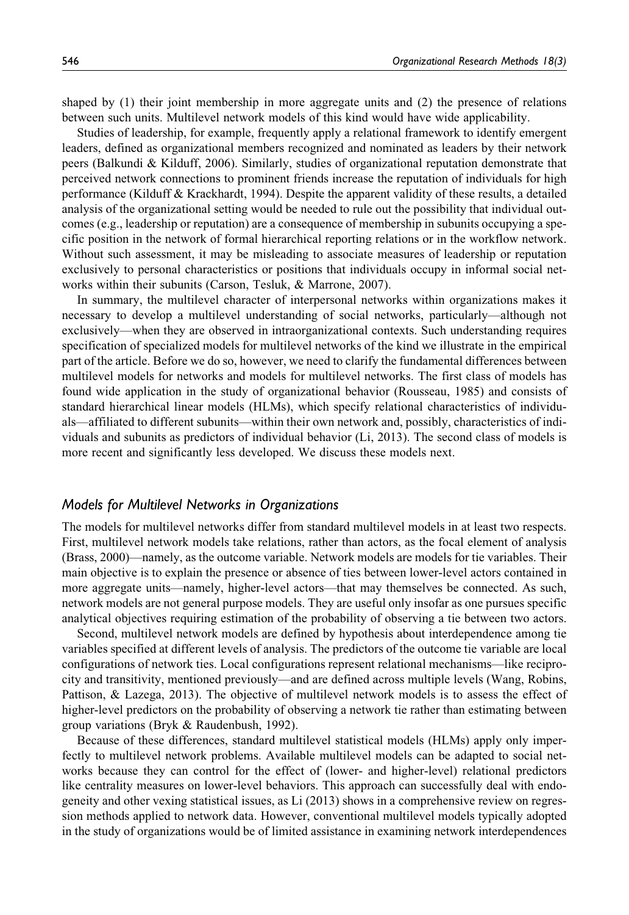shaped by (1) their joint membership in more aggregate units and (2) the presence of relations between such units. Multilevel network models of this kind would have wide applicability.

Studies of leadership, for example, frequently apply a relational framework to identify emergent leaders, defined as organizational members recognized and nominated as leaders by their network peers (Balkundi & Kilduff, 2006). Similarly, studies of organizational reputation demonstrate that perceived network connections to prominent friends increase the reputation of individuals for high performance (Kilduff & Krackhardt, 1994). Despite the apparent validity of these results, a detailed analysis of the organizational setting would be needed to rule out the possibility that individual outcomes (e.g., leadership or reputation) are a consequence of membership in subunits occupying a specific position in the network of formal hierarchical reporting relations or in the workflow network. Without such assessment, it may be misleading to associate measures of leadership or reputation exclusively to personal characteristics or positions that individuals occupy in informal social networks within their subunits (Carson, Tesluk, & Marrone, 2007).

In summary, the multilevel character of interpersonal networks within organizations makes it necessary to develop a multilevel understanding of social networks, particularly—although not exclusively—when they are observed in intraorganizational contexts. Such understanding requires specification of specialized models for multilevel networks of the kind we illustrate in the empirical part of the article. Before we do so, however, we need to clarify the fundamental differences between multilevel models for networks and models for multilevel networks. The first class of models has found wide application in the study of organizational behavior (Rousseau, 1985) and consists of standard hierarchical linear models (HLMs), which specify relational characteristics of individuals—affiliated to different subunits—within their own network and, possibly, characteristics of individuals and subunits as predictors of individual behavior (Li, 2013). The second class of models is more recent and significantly less developed. We discuss these models next.

# Models for Multilevel Networks in Organizations

The models for multilevel networks differ from standard multilevel models in at least two respects. First, multilevel network models take relations, rather than actors, as the focal element of analysis (Brass, 2000)—namely, as the outcome variable. Network models are models for tie variables. Their main objective is to explain the presence or absence of ties between lower-level actors contained in more aggregate units—namely, higher-level actors—that may themselves be connected. As such, network models are not general purpose models. They are useful only insofar as one pursues specific analytical objectives requiring estimation of the probability of observing a tie between two actors.

Second, multilevel network models are defined by hypothesis about interdependence among tie variables specified at different levels of analysis. The predictors of the outcome tie variable are local configurations of network ties. Local configurations represent relational mechanisms—like reciprocity and transitivity, mentioned previously—and are defined across multiple levels (Wang, Robins, Pattison, & Lazega, 2013). The objective of multilevel network models is to assess the effect of higher-level predictors on the probability of observing a network tie rather than estimating between group variations (Bryk & Raudenbush, 1992).

Because of these differences, standard multilevel statistical models (HLMs) apply only imperfectly to multilevel network problems. Available multilevel models can be adapted to social networks because they can control for the effect of (lower- and higher-level) relational predictors like centrality measures on lower-level behaviors. This approach can successfully deal with endogeneity and other vexing statistical issues, as Li (2013) shows in a comprehensive review on regression methods applied to network data. However, conventional multilevel models typically adopted in the study of organizations would be of limited assistance in examining network interdependences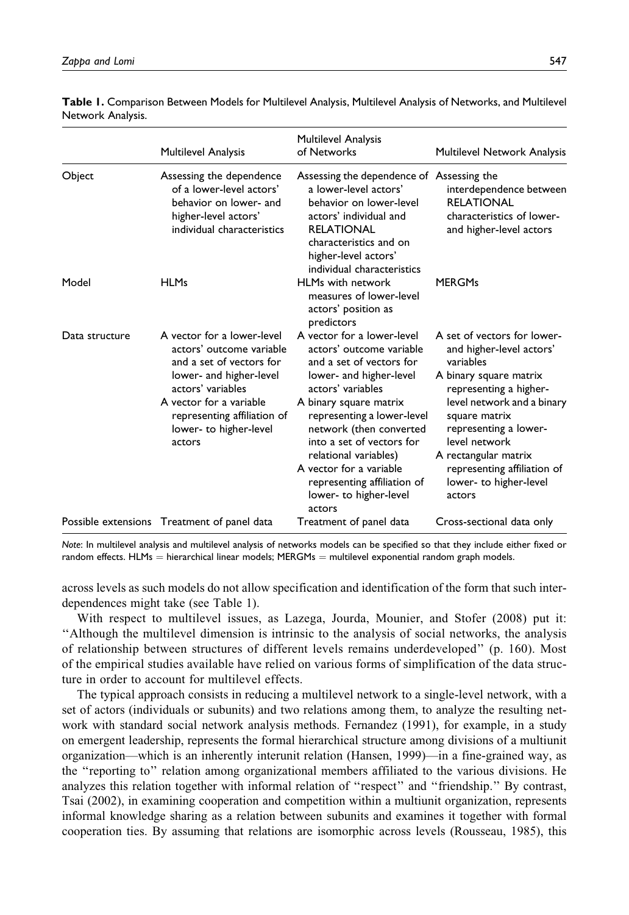|                | <b>Multilevel Analysis</b>                                                                                                           | <b>Multilevel Analysis</b><br>of Networks                                                                                                                                                                                    | Multilevel Network Analysis                                                                                              |
|----------------|--------------------------------------------------------------------------------------------------------------------------------------|------------------------------------------------------------------------------------------------------------------------------------------------------------------------------------------------------------------------------|--------------------------------------------------------------------------------------------------------------------------|
| Object         | Assessing the dependence<br>of a lower-level actors'<br>behavior on lower- and<br>higher-level actors'<br>individual characteristics | Assessing the dependence of Assessing the<br>a lower-level actors'<br>behavior on lower-level<br>actors' individual and<br><b>RELATIONAL</b><br>characteristics and on<br>higher-level actors'<br>individual characteristics | interdependence between<br><b>RELATIONAL</b><br>characteristics of lower-<br>and higher-level actors                     |
| Model          | <b>HLMs</b>                                                                                                                          | <b>HLMs with network</b><br>measures of lower-level<br>actors' position as<br>predictors                                                                                                                                     | <b>MERGMs</b>                                                                                                            |
| Data structure | A vector for a lower-level<br>actors' outcome variable<br>and a set of vectors for<br>lower- and higher-level<br>actors' variables   | A vector for a lower-level<br>actors' outcome variable<br>and a set of vectors for<br>lower- and higher-level<br>actors' variables                                                                                           | A set of vectors for lower-<br>and higher-level actors'<br>variables<br>A binary square matrix<br>representing a higher- |
|                | A vector for a variable<br>representing affiliation of<br>lower- to higher-level<br>actors                                           | A binary square matrix<br>representing a lower-level<br>network (then converted<br>into a set of vectors for<br>relational variables)                                                                                        | level network and a binary<br>square matrix<br>representing a lower-<br>level network<br>A rectangular matrix            |
|                |                                                                                                                                      | A vector for a variable<br>representing affiliation of<br>lower- to higher-level<br>actors                                                                                                                                   | representing affiliation of<br>lower- to higher-level<br>actors                                                          |
|                | Possible extensions Treatment of panel data                                                                                          | Treatment of panel data                                                                                                                                                                                                      | Cross-sectional data only                                                                                                |

Table 1. Comparison Between Models for Multilevel Analysis, Multilevel Analysis of Networks, and Multilevel Network Analysis.

Note: In multilevel analysis and multilevel analysis of networks models can be specified so that they include either fixed or random effects.  $HLMs$  = hierarchical linear models; MERGMs = multilevel exponential random graph models.

across levels as such models do not allow specification and identification of the form that such interdependences might take (see Table 1).

With respect to multilevel issues, as Lazega, Jourda, Mounier, and Stofer (2008) put it: ''Although the multilevel dimension is intrinsic to the analysis of social networks, the analysis of relationship between structures of different levels remains underdeveloped'' (p. 160). Most of the empirical studies available have relied on various forms of simplification of the data structure in order to account for multilevel effects.

The typical approach consists in reducing a multilevel network to a single-level network, with a set of actors (individuals or subunits) and two relations among them, to analyze the resulting network with standard social network analysis methods. Fernandez (1991), for example, in a study on emergent leadership, represents the formal hierarchical structure among divisions of a multiunit organization—which is an inherently interunit relation (Hansen, 1999)—in a fine-grained way, as the ''reporting to'' relation among organizational members affiliated to the various divisions. He analyzes this relation together with informal relation of ''respect'' and ''friendship.'' By contrast, Tsai (2002), in examining cooperation and competition within a multiunit organization, represents informal knowledge sharing as a relation between subunits and examines it together with formal cooperation ties. By assuming that relations are isomorphic across levels (Rousseau, 1985), this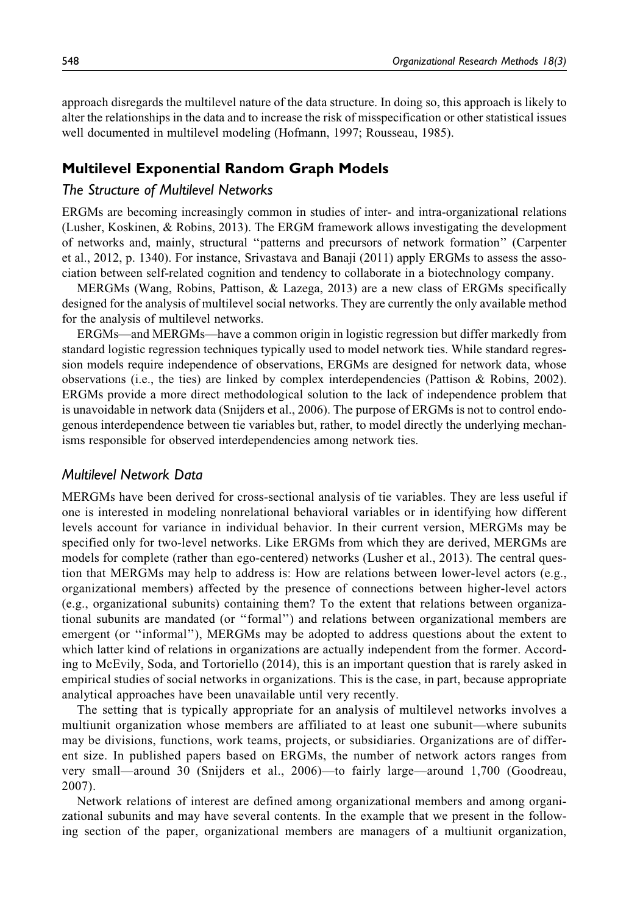approach disregards the multilevel nature of the data structure. In doing so, this approach is likely to alter the relationships in the data and to increase the risk of misspecification or other statistical issues well documented in multilevel modeling (Hofmann, 1997; Rousseau, 1985).

# Multilevel Exponential Random Graph Models

# The Structure of Multilevel Networks

ERGMs are becoming increasingly common in studies of inter- and intra-organizational relations (Lusher, Koskinen, & Robins, 2013). The ERGM framework allows investigating the development of networks and, mainly, structural ''patterns and precursors of network formation'' (Carpenter et al., 2012, p. 1340). For instance, Srivastava and Banaji (2011) apply ERGMs to assess the association between self-related cognition and tendency to collaborate in a biotechnology company.

MERGMs (Wang, Robins, Pattison, & Lazega, 2013) are a new class of ERGMs specifically designed for the analysis of multilevel social networks. They are currently the only available method for the analysis of multilevel networks.

ERGMs—and MERGMs—have a common origin in logistic regression but differ markedly from standard logistic regression techniques typically used to model network ties. While standard regression models require independence of observations, ERGMs are designed for network data, whose observations (i.e., the ties) are linked by complex interdependencies (Pattison & Robins, 2002). ERGMs provide a more direct methodological solution to the lack of independence problem that is unavoidable in network data (Snijders et al., 2006). The purpose of ERGMs is not to control endogenous interdependence between tie variables but, rather, to model directly the underlying mechanisms responsible for observed interdependencies among network ties.

#### Multilevel Network Data

MERGMs have been derived for cross-sectional analysis of tie variables. They are less useful if one is interested in modeling nonrelational behavioral variables or in identifying how different levels account for variance in individual behavior. In their current version, MERGMs may be specified only for two-level networks. Like ERGMs from which they are derived, MERGMs are models for complete (rather than ego-centered) networks (Lusher et al., 2013). The central question that MERGMs may help to address is: How are relations between lower-level actors (e.g., organizational members) affected by the presence of connections between higher-level actors (e.g., organizational subunits) containing them? To the extent that relations between organizational subunits are mandated (or ''formal'') and relations between organizational members are emergent (or ''informal''), MERGMs may be adopted to address questions about the extent to which latter kind of relations in organizations are actually independent from the former. According to McEvily, Soda, and Tortoriello (2014), this is an important question that is rarely asked in empirical studies of social networks in organizations. This is the case, in part, because appropriate analytical approaches have been unavailable until very recently.

The setting that is typically appropriate for an analysis of multilevel networks involves a multiunit organization whose members are affiliated to at least one subunit—where subunits may be divisions, functions, work teams, projects, or subsidiaries. Organizations are of different size. In published papers based on ERGMs, the number of network actors ranges from very small—around 30 (Snijders et al., 2006)—to fairly large—around 1,700 (Goodreau, 2007).

Network relations of interest are defined among organizational members and among organizational subunits and may have several contents. In the example that we present in the following section of the paper, organizational members are managers of a multiunit organization,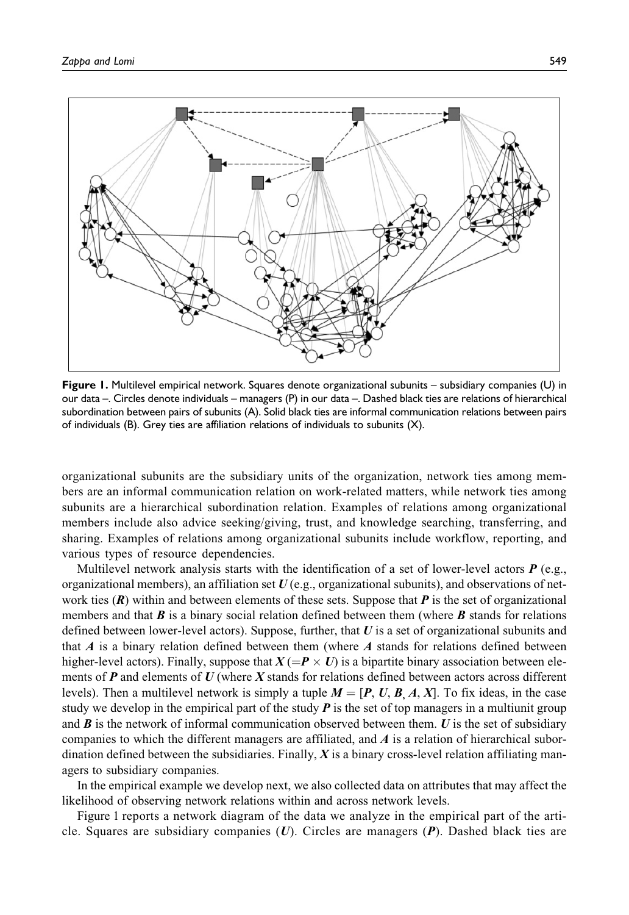

Figure 1. Multilevel empirical network. Squares denote organizational subunits – subsidiary companies (U) in our data –. Circles denote individuals – managers (P) in our data –. Dashed black ties are relations of hierarchical subordination between pairs of subunits (A). Solid black ties are informal communication relations between pairs of individuals (B). Grey ties are affiliation relations of individuals to subunits (X).

organizational subunits are the subsidiary units of the organization, network ties among members are an informal communication relation on work-related matters, while network ties among subunits are a hierarchical subordination relation. Examples of relations among organizational members include also advice seeking/giving, trust, and knowledge searching, transferring, and sharing. Examples of relations among organizational subunits include workflow, reporting, and various types of resource dependencies.

Multilevel network analysis starts with the identification of a set of lower-level actors  $P$  (e.g., organizational members), an affiliation set  $U$  (e.g., organizational subunits), and observations of network ties  $(R)$  within and between elements of these sets. Suppose that  $P$  is the set of organizational members and that  $\bm{B}$  is a binary social relation defined between them (where  $\bm{B}$  stands for relations defined between lower-level actors). Suppose, further, that  $U$  is a set of organizational subunits and that  $A$  is a binary relation defined between them (where  $A$  stands for relations defined between higher-level actors). Finally, suppose that  $X (= P \times U)$  is a bipartite binary association between elements of  $P$  and elements of  $U$  (where  $X$  stands for relations defined between actors across different levels). Then a multilevel network is simply a tuple  $M = [P, U, B, A, X]$ . To fix ideas, in the case study we develop in the empirical part of the study  $P$  is the set of top managers in a multiunit group and  $\bf{B}$  is the network of informal communication observed between them.  $\bf{U}$  is the set of subsidiary companies to which the different managers are affiliated, and  $\vec{A}$  is a relation of hierarchical subordination defined between the subsidiaries. Finally,  $X$  is a binary cross-level relation affiliating managers to subsidiary companies.

In the empirical example we develop next, we also collected data on attributes that may affect the likelihood of observing network relations within and across network levels.

Figure 1 reports a network diagram of the data we analyze in the empirical part of the article. Squares are subsidiary companies  $(U)$ . Circles are managers  $(P)$ . Dashed black ties are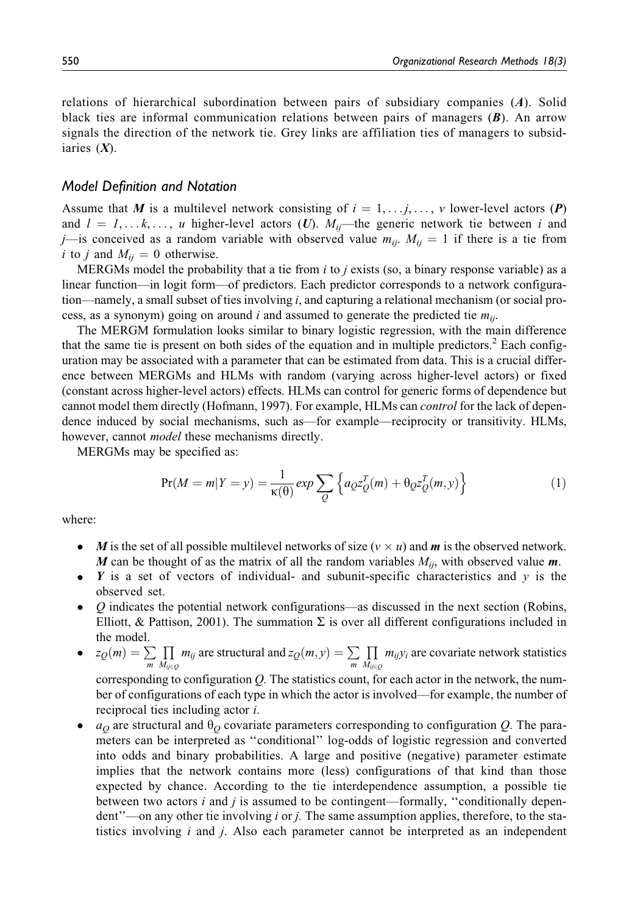relations of hierarchical subordination between pairs of subsidiary companies (A). Solid black ties are informal communication relations between pairs of managers  $(B)$ . An arrow signals the direction of the network tie. Grey links are affiliation ties of managers to subsidiaries  $(X)$ .

# Model Definition and Notation

Assume that M is a multilevel network consisting of  $i = 1, \ldots, j, \ldots, v$  lower-level actors (P) and  $l = 1, \ldots k, \ldots, u$  higher-level actors (U).  $M_{ij}$ —the generic network tie between i and j—is conceived as a random variable with observed value  $m_{ij}$ .  $M_{ij} = 1$  if there is a tie from *i* to *j* and  $M_{ii} = 0$  otherwise.

MERGMs model the probability that a tie from  $i$  to  $j$  exists (so, a binary response variable) as a linear function—in logit form—of predictors. Each predictor corresponds to a network configuration—namely, a small subset of ties involving i, and capturing a relational mechanism (or social process, as a synonym) going on around i and assumed to generate the predicted tie  $m_{ii}$ .

The MERGM formulation looks similar to binary logistic regression, with the main difference that the same tie is present on both sides of the equation and in multiple predictors.<sup>2</sup> Each configuration may be associated with a parameter that can be estimated from data. This is a crucial difference between MERGMs and HLMs with random (varying across higher-level actors) or fixed (constant across higher-level actors) effects. HLMs can control for generic forms of dependence but cannot model them directly (Hofmann, 1997). For example, HLMs can control for the lack of dependence induced by social mechanisms, such as—for example—reciprocity or transitivity. HLMs, however, cannot *model* these mechanisms directly.

MERGMs may be specified as:

$$
\Pr(M = m|Y = y) = \frac{1}{\kappa(\theta)} \exp \sum_{Q} \left\{ a_{Q} z_{Q}^{T}(m) + \theta_{Q} z_{Q}^{T}(m, y) \right\} \tag{1}
$$

where:

- *M* is the set of all possible multilevel networks of size ( $v \times u$ ) and *m* is the observed network. M can be thought of as the matrix of all the random variables  $M_{ij}$ , with observed value m.
- Y is a set of vectors of individual- and subunit-specific characteristics and  $y$  is the observed set.
- Q indicates the potential network configurations—as discussed in the next section (Robins, Elliott, & Pattison, 2001). The summation  $\Sigma$  is over all different configurations included in the model.
- $z_Q(m) = \sum_{m}$  $\overline{u}$  $\prod_{M_{ij\in\mathcal{Q}}} m_{ij}$  are structural and  $z_{\mathcal{Q}}(m, y) = \sum_{m}$  $\overline{u}$  $\prod_{M_{ij\in\mathcal{Q}}} m_{ij} y_i$  are covariate network statistics corresponding to configuration Q. The statistics count, for each actor in the network, the num-

ber of configurations of each type in which the actor is involved—for example, the number of reciprocal ties including actor i.

 $a<sub>O</sub>$  are structural and  $\theta<sub>O</sub>$  covariate parameters corresponding to configuration Q. The parameters can be interpreted as ''conditional'' log-odds of logistic regression and converted into odds and binary probabilities. A large and positive (negative) parameter estimate implies that the network contains more (less) configurations of that kind than those expected by chance. According to the tie interdependence assumption, a possible tie between two actors  $i$  and  $j$  is assumed to be contingent—formally, "conditionally dependent"—on any other tie involving  $i$  or  $j$ . The same assumption applies, therefore, to the statistics involving  $i$  and  $j$ . Also each parameter cannot be interpreted as an independent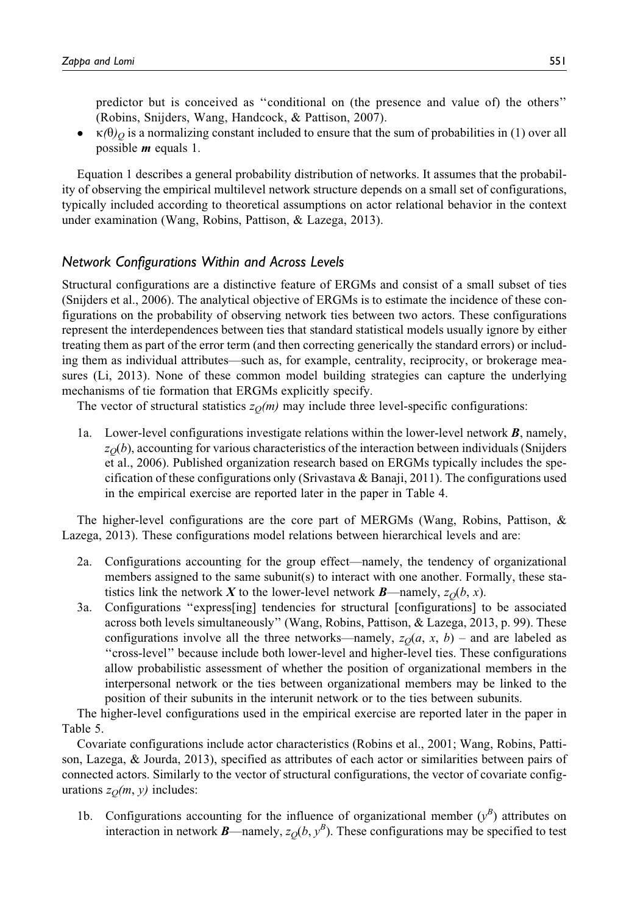predictor but is conceived as ''conditional on (the presence and value of) the others'' (Robins, Snijders, Wang, Handcock, & Pattison, 2007).

•  $\kappa(\theta)$  is a normalizing constant included to ensure that the sum of probabilities in (1) over all possible m equals 1.

Equation 1 describes a general probability distribution of networks. It assumes that the probability of observing the empirical multilevel network structure depends on a small set of configurations, typically included according to theoretical assumptions on actor relational behavior in the context under examination (Wang, Robins, Pattison, & Lazega, 2013).

# Network Configurations Within and Across Levels

Structural configurations are a distinctive feature of ERGMs and consist of a small subset of ties (Snijders et al., 2006). The analytical objective of ERGMs is to estimate the incidence of these configurations on the probability of observing network ties between two actors. These configurations represent the interdependences between ties that standard statistical models usually ignore by either treating them as part of the error term (and then correcting generically the standard errors) or including them as individual attributes—such as, for example, centrality, reciprocity, or brokerage measures (Li, 2013). None of these common model building strategies can capture the underlying mechanisms of tie formation that ERGMs explicitly specify.

The vector of structural statistics  $z<sub>O</sub>(m)$  may include three level-specific configurations:

1a. Lower-level configurations investigate relations within the lower-level network  $\bm{B}$ , namely,  $z<sub>O</sub>(b)$ , accounting for various characteristics of the interaction between individuals (Snijders et al., 2006). Published organization research based on ERGMs typically includes the specification of these configurations only (Srivastava & Banaji, 2011). The configurations used in the empirical exercise are reported later in the paper in Table 4.

The higher-level configurations are the core part of MERGMs (Wang, Robins, Pattison, & Lazega, 2013). These configurations model relations between hierarchical levels and are:

- 2a. Configurations accounting for the group effect—namely, the tendency of organizational members assigned to the same subunit(s) to interact with one another. Formally, these statistics link the network X to the lower-level network **B**—namely,  $z<sub>O</sub>(b, x)$ .
- 3a. Configurations ''express[ing] tendencies for structural [configurations] to be associated across both levels simultaneously'' (Wang, Robins, Pattison, & Lazega, 2013, p. 99). These configurations involve all the three networks—namely,  $z<sub>O</sub>(a, x, b)$  – and are labeled as ''cross-level'' because include both lower-level and higher-level ties. These configurations allow probabilistic assessment of whether the position of organizational members in the interpersonal network or the ties between organizational members may be linked to the position of their subunits in the interunit network or to the ties between subunits.

The higher-level configurations used in the empirical exercise are reported later in the paper in Table 5.

Covariate configurations include actor characteristics (Robins et al., 2001; Wang, Robins, Pattison, Lazega, & Jourda, 2013), specified as attributes of each actor or similarities between pairs of connected actors. Similarly to the vector of structural configurations, the vector of covariate configurations  $z<sub>O</sub>(m, y)$  includes:

1b. Configurations accounting for the influence of organizational member  $(y^B)$  attributes on interaction in network **B**—namely,  $z_Q(b, y^B)$ . These configurations may be specified to test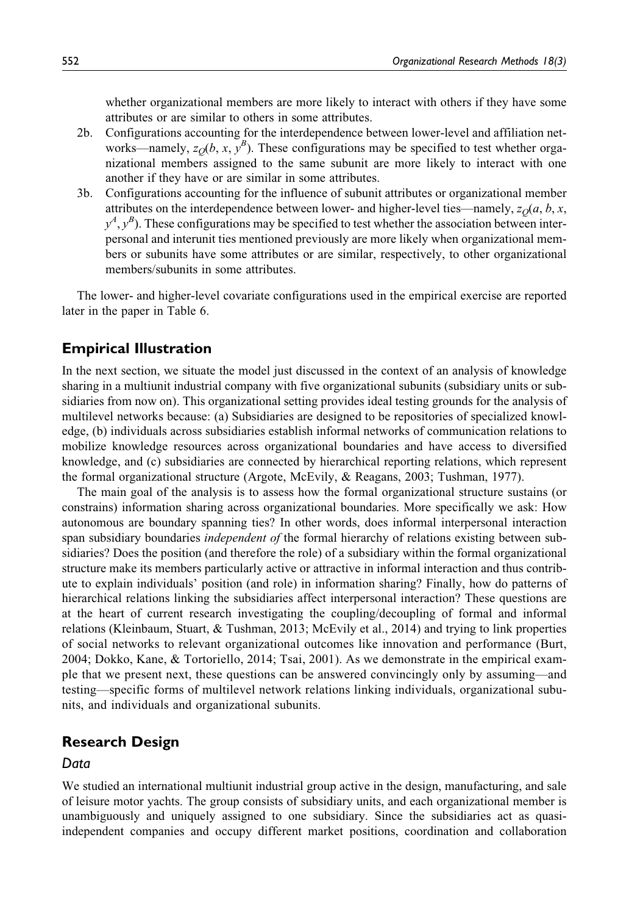whether organizational members are more likely to interact with others if they have some attributes or are similar to others in some attributes.

- 2b. Configurations accounting for the interdependence between lower-level and affiliation networks—namely,  $z_Q(b, x, y^B)$ . These configurations may be specified to test whether organizational members assigned to the same subunit are more likely to interact with one another if they have or are similar in some attributes.
- 3b. Configurations accounting for the influence of subunit attributes or organizational member attributes on the interdependence between lower- and higher-level ties—namely,  $z<sub>O</sub>(a, b, x,$  $y^A$ ,  $y^B$ ). These configurations may be specified to test whether the association between interpersonal and interunit ties mentioned previously are more likely when organizational members or subunits have some attributes or are similar, respectively, to other organizational members/subunits in some attributes.

The lower- and higher-level covariate configurations used in the empirical exercise are reported later in the paper in Table 6.

# Empirical Illustration

In the next section, we situate the model just discussed in the context of an analysis of knowledge sharing in a multiunit industrial company with five organizational subunits (subsidiary units or subsidiaries from now on). This organizational setting provides ideal testing grounds for the analysis of multilevel networks because: (a) Subsidiaries are designed to be repositories of specialized knowledge, (b) individuals across subsidiaries establish informal networks of communication relations to mobilize knowledge resources across organizational boundaries and have access to diversified knowledge, and (c) subsidiaries are connected by hierarchical reporting relations, which represent the formal organizational structure (Argote, McEvily, & Reagans, 2003; Tushman, 1977).

The main goal of the analysis is to assess how the formal organizational structure sustains (or constrains) information sharing across organizational boundaries. More specifically we ask: How autonomous are boundary spanning ties? In other words, does informal interpersonal interaction span subsidiary boundaries *independent of* the formal hierarchy of relations existing between subsidiaries? Does the position (and therefore the role) of a subsidiary within the formal organizational structure make its members particularly active or attractive in informal interaction and thus contribute to explain individuals' position (and role) in information sharing? Finally, how do patterns of hierarchical relations linking the subsidiaries affect interpersonal interaction? These questions are at the heart of current research investigating the coupling/decoupling of formal and informal relations (Kleinbaum, Stuart, & Tushman, 2013; McEvily et al., 2014) and trying to link properties of social networks to relevant organizational outcomes like innovation and performance (Burt, 2004; Dokko, Kane, & Tortoriello, 2014; Tsai, 2001). As we demonstrate in the empirical example that we present next, these questions can be answered convincingly only by assuming—and testing—specific forms of multilevel network relations linking individuals, organizational subunits, and individuals and organizational subunits.

# Research Design

## Data

We studied an international multiunit industrial group active in the design, manufacturing, and sale of leisure motor yachts. The group consists of subsidiary units, and each organizational member is unambiguously and uniquely assigned to one subsidiary. Since the subsidiaries act as quasiindependent companies and occupy different market positions, coordination and collaboration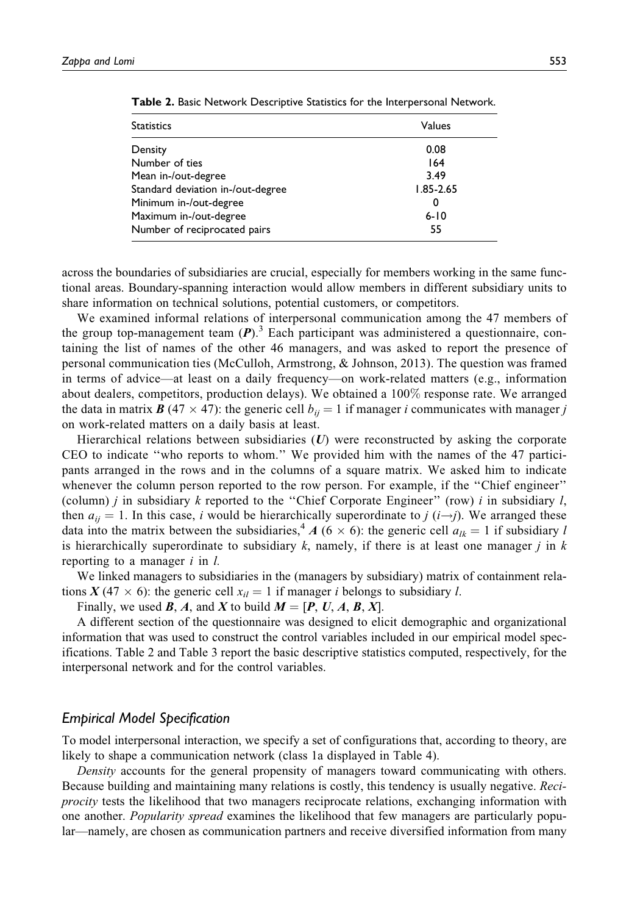| Values        |  |  |  |
|---------------|--|--|--|
| 0.08          |  |  |  |
| 164           |  |  |  |
| 3.49          |  |  |  |
| $1.85 - 2.65$ |  |  |  |
| 0             |  |  |  |
| $6 - 10$      |  |  |  |
| 55            |  |  |  |
|               |  |  |  |

Table 2. Basic Network Descriptive Statistics for the Interpersonal Network.

across the boundaries of subsidiaries are crucial, especially for members working in the same functional areas. Boundary-spanning interaction would allow members in different subsidiary units to share information on technical solutions, potential customers, or competitors.

We examined informal relations of interpersonal communication among the 47 members of the group top-management team  $(P)$ .<sup>3</sup> Each participant was administered a questionnaire, containing the list of names of the other 46 managers, and was asked to report the presence of personal communication ties (McCulloh, Armstrong, & Johnson, 2013). The question was framed in terms of advice—at least on a daily frequency—on work-related matters (e.g., information about dealers, competitors, production delays). We obtained a 100% response rate. We arranged the data in matrix  $\bm{B}$  (47  $\times$  47): the generic cell  $b_{ij} = 1$  if manager *i* communicates with manager *j* on work-related matters on a daily basis at least.

Hierarchical relations between subsidiaries  $(U)$  were reconstructed by asking the corporate CEO to indicate ''who reports to whom.'' We provided him with the names of the 47 participants arranged in the rows and in the columns of a square matrix. We asked him to indicate whenever the column person reported to the row person. For example, if the "Chief engineer" (column) *j* in subsidiary  $k$  reported to the "Chief Corporate Engineer" (row)  $i$  in subsidiary  $l$ , then  $a_{ij} = 1$ . In this case, i would be hierarchically superordinate to j  $(i \rightarrow j)$ . We arranged these data into the matrix between the subsidiaries,<sup>4</sup> A (6  $\times$  6): the generic cell  $a_{lk} = 1$  if subsidiary l is hierarchically superordinate to subsidiary  $k$ , namely, if there is at least one manager j in  $k$ reporting to a manager  $i$  in  $l$ .

We linked managers to subsidiaries in the (managers by subsidiary) matrix of containment relations  $X(47 \times 6)$ : the generic cell  $x_{il} = 1$  if manager *i* belongs to subsidiary *l*.

Finally, we used **B**, A, and X to build  $M = [P, U, A, B, X]$ .

A different section of the questionnaire was designed to elicit demographic and organizational information that was used to construct the control variables included in our empirical model specifications. Table 2 and Table 3 report the basic descriptive statistics computed, respectively, for the interpersonal network and for the control variables.

#### Empirical Model Specification

To model interpersonal interaction, we specify a set of configurations that, according to theory, are likely to shape a communication network (class 1a displayed in Table 4).

Density accounts for the general propensity of managers toward communicating with others. Because building and maintaining many relations is costly, this tendency is usually negative. Reciprocity tests the likelihood that two managers reciprocate relations, exchanging information with one another. *Popularity spread* examines the likelihood that few managers are particularly popular—namely, are chosen as communication partners and receive diversified information from many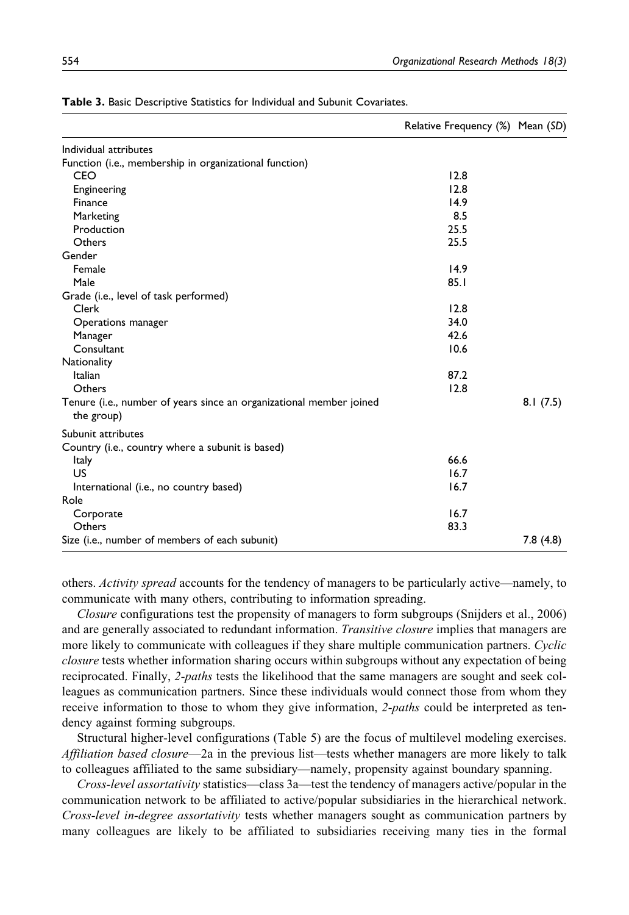|                                                                                   | Relative Frequency (%) Mean (SD) |          |
|-----------------------------------------------------------------------------------|----------------------------------|----------|
| Individual attributes                                                             |                                  |          |
| Function (i.e., membership in organizational function)                            |                                  |          |
| CEO                                                                               | 12.8                             |          |
| Engineering                                                                       | 12.8                             |          |
| Finance                                                                           | 14.9                             |          |
| Marketing                                                                         | 8.5                              |          |
| Production                                                                        | 25.5                             |          |
| Others                                                                            | 25.5                             |          |
| Gender                                                                            |                                  |          |
| Female                                                                            | 14.9                             |          |
| Male                                                                              | 85.1                             |          |
| Grade (i.e., level of task performed)                                             |                                  |          |
| Clerk                                                                             | 12.8                             |          |
| Operations manager                                                                | 34.0                             |          |
| Manager                                                                           | 42.6                             |          |
| Consultant                                                                        | 10.6                             |          |
| Nationality                                                                       |                                  |          |
| Italian                                                                           | 87.2                             |          |
| Others                                                                            | 12.8                             |          |
| Tenure (i.e., number of years since an organizational member joined<br>the group) |                                  | 8.1(7.5) |
| Subunit attributes                                                                |                                  |          |
| Country (i.e., country where a subunit is based)                                  |                                  |          |
| <b>Italy</b>                                                                      | 66.6                             |          |
| US                                                                                | 16.7                             |          |
| International (i.e., no country based)                                            | 16.7                             |          |
| Role                                                                              |                                  |          |
| Corporate                                                                         | 16.7                             |          |
| Others                                                                            | 83.3                             |          |
| Size (i.e., number of members of each subunit)                                    |                                  | 7.8(4.8) |

Table 3. Basic Descriptive Statistics for Individual and Subunit Covariates.

others. Activity spread accounts for the tendency of managers to be particularly active—namely, to communicate with many others, contributing to information spreading.

Closure configurations test the propensity of managers to form subgroups (Snijders et al., 2006) and are generally associated to redundant information. Transitive closure implies that managers are more likely to communicate with colleagues if they share multiple communication partners. Cyclic closure tests whether information sharing occurs within subgroups without any expectation of being reciprocated. Finally, 2-paths tests the likelihood that the same managers are sought and seek colleagues as communication partners. Since these individuals would connect those from whom they receive information to those to whom they give information, 2-paths could be interpreted as tendency against forming subgroups.

Structural higher-level configurations (Table 5) are the focus of multilevel modeling exercises. Affiliation based closure—2a in the previous list—tests whether managers are more likely to talk to colleagues affiliated to the same subsidiary—namely, propensity against boundary spanning.

Cross-level assortativity statistics—class 3a—test the tendency of managers active/popular in the communication network to be affiliated to active/popular subsidiaries in the hierarchical network. Cross-level in-degree assortativity tests whether managers sought as communication partners by many colleagues are likely to be affiliated to subsidiaries receiving many ties in the formal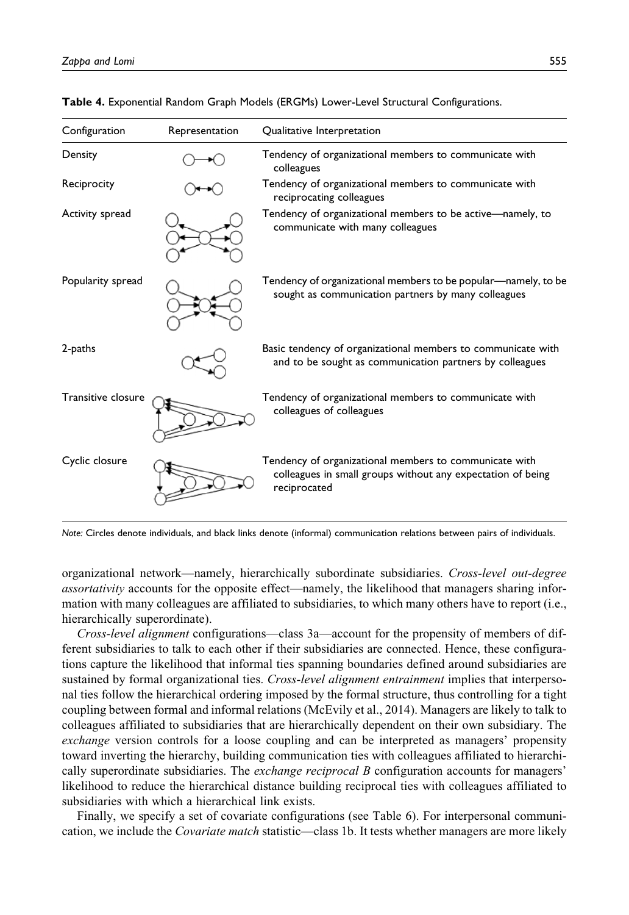| Configuration      | Representation | Qualitative Interpretation                                                                                                            |
|--------------------|----------------|---------------------------------------------------------------------------------------------------------------------------------------|
| Density            |                | Tendency of organizational members to communicate with<br>colleagues                                                                  |
| Reciprocity        |                | Tendency of organizational members to communicate with<br>reciprocating colleagues                                                    |
| Activity spread    |                | Tendency of organizational members to be active—namely, to<br>communicate with many colleagues                                        |
| Popularity spread  |                | Tendency of organizational members to be popular-namely, to be<br>sought as communication partners by many colleagues                 |
| 2-paths            |                | Basic tendency of organizational members to communicate with<br>and to be sought as communication partners by colleagues              |
| Transitive closure |                | Tendency of organizational members to communicate with<br>colleagues of colleagues                                                    |
| Cyclic closure     |                | Tendency of organizational members to communicate with<br>colleagues in small groups without any expectation of being<br>reciprocated |

|  |  |  |  |  |  |  | Table 4. Exponential Random Graph Models (ERGMs) Lower-Level Structural Configurations. |
|--|--|--|--|--|--|--|-----------------------------------------------------------------------------------------|
|--|--|--|--|--|--|--|-----------------------------------------------------------------------------------------|

Note: Circles denote individuals, and black links denote (informal) communication relations between pairs of individuals.

organizational network—namely, hierarchically subordinate subsidiaries. Cross-level out-degree assortativity accounts for the opposite effect—namely, the likelihood that managers sharing information with many colleagues are affiliated to subsidiaries, to which many others have to report (i.e., hierarchically superordinate).

Cross-level alignment configurations—class 3a—account for the propensity of members of different subsidiaries to talk to each other if their subsidiaries are connected. Hence, these configurations capture the likelihood that informal ties spanning boundaries defined around subsidiaries are sustained by formal organizational ties. Cross-level alignment entrainment implies that interpersonal ties follow the hierarchical ordering imposed by the formal structure, thus controlling for a tight coupling between formal and informal relations (McEvily et al., 2014). Managers are likely to talk to colleagues affiliated to subsidiaries that are hierarchically dependent on their own subsidiary. The exchange version controls for a loose coupling and can be interpreted as managers' propensity toward inverting the hierarchy, building communication ties with colleagues affiliated to hierarchically superordinate subsidiaries. The exchange reciprocal B configuration accounts for managers' likelihood to reduce the hierarchical distance building reciprocal ties with colleagues affiliated to subsidiaries with which a hierarchical link exists.

Finally, we specify a set of covariate configurations (see Table 6). For interpersonal communication, we include the Covariate match statistic—class 1b. It tests whether managers are more likely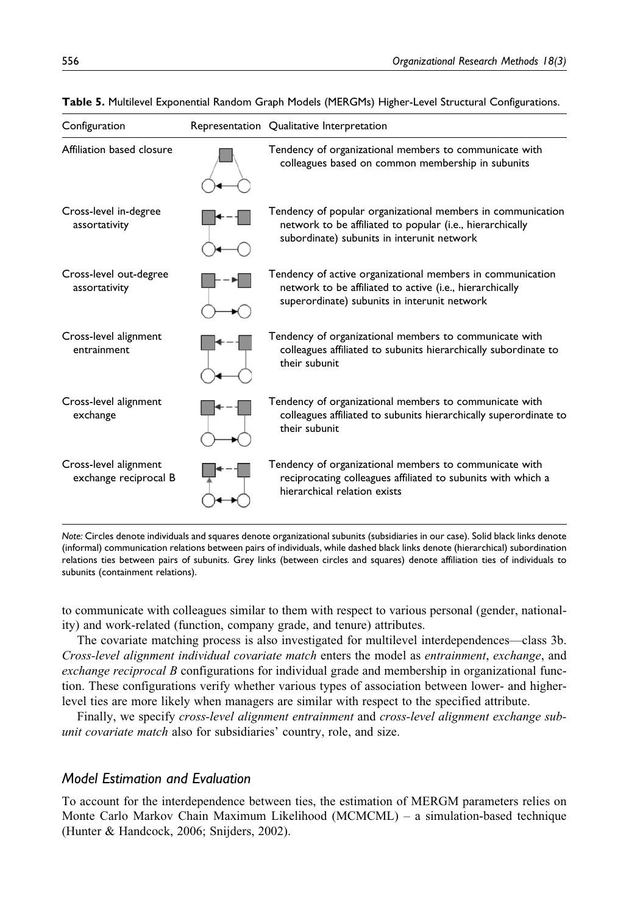| Configuration                                  | Representation Qualitative Interpretation                                                                                                                              |
|------------------------------------------------|------------------------------------------------------------------------------------------------------------------------------------------------------------------------|
| Affiliation based closure                      | Tendency of organizational members to communicate with<br>colleagues based on common membership in subunits                                                            |
| Cross-level in-degree<br>assortativity         | Tendency of popular organizational members in communication<br>network to be affiliated to popular (i.e., hierarchically<br>subordinate) subunits in interunit network |
| Cross-level out-degree<br>assortativity        | Tendency of active organizational members in communication<br>network to be affiliated to active (i.e., hierarchically<br>superordinate) subunits in interunit network |
| Cross-level alignment<br>entrainment           | Tendency of organizational members to communicate with<br>colleagues affiliated to subunits hierarchically subordinate to<br>their subunit                             |
| Cross-level alignment<br>exchange              | Tendency of organizational members to communicate with<br>colleagues affiliated to subunits hierarchically superordinate to<br>their subunit                           |
| Cross-level alignment<br>exchange reciprocal B | Tendency of organizational members to communicate with<br>reciprocating colleagues affiliated to subunits with which a<br>hierarchical relation exists                 |

#### Table 5. Multilevel Exponential Random Graph Models (MERGMs) Higher-Level Structural Configurations.

Note: Circles denote individuals and squares denote organizational subunits (subsidiaries in our case). Solid black links denote (informal) communication relations between pairs of individuals, while dashed black links denote (hierarchical) subordination relations ties between pairs of subunits. Grey links (between circles and squares) denote affiliation ties of individuals to subunits (containment relations).

to communicate with colleagues similar to them with respect to various personal (gender, nationality) and work-related (function, company grade, and tenure) attributes.

The covariate matching process is also investigated for multilevel interdependences—class 3b. Cross-level alignment individual covariate match enters the model as entrainment, exchange, and exchange reciprocal B configurations for individual grade and membership in organizational function. These configurations verify whether various types of association between lower- and higherlevel ties are more likely when managers are similar with respect to the specified attribute.

Finally, we specify cross-level alignment entrainment and cross-level alignment exchange subunit covariate match also for subsidiaries' country, role, and size.

# Model Estimation and Evaluation

To account for the interdependence between ties, the estimation of MERGM parameters relies on Monte Carlo Markov Chain Maximum Likelihood (MCMCML) – a simulation-based technique (Hunter & Handcock, 2006; Snijders, 2002).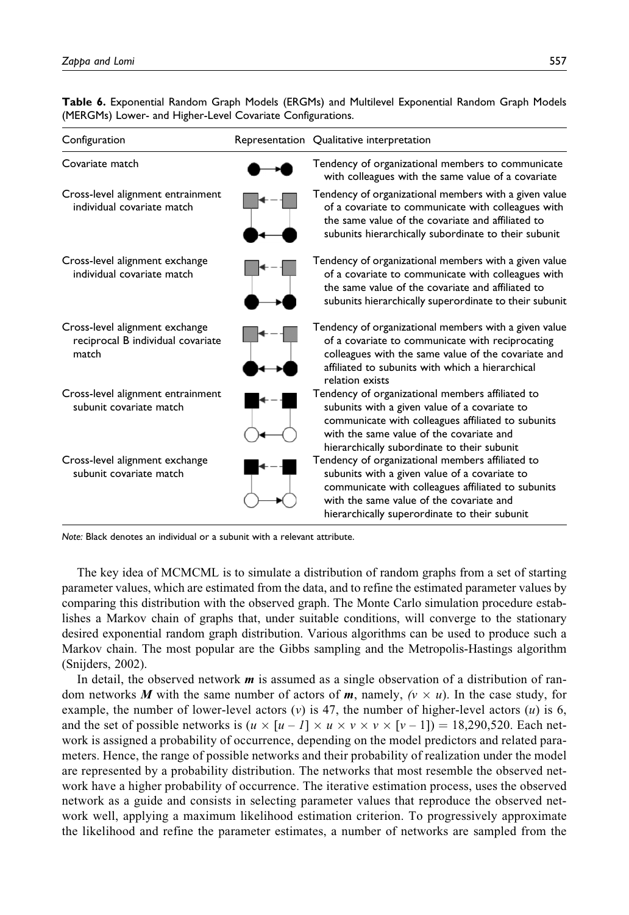| Configuration                                                                | Representation Qualitative interpretation                                                                                                                                                                                                            |  |  |  |
|------------------------------------------------------------------------------|------------------------------------------------------------------------------------------------------------------------------------------------------------------------------------------------------------------------------------------------------|--|--|--|
| Covariate match                                                              | Tendency of organizational members to communicate<br>with colleagues with the same value of a covariate                                                                                                                                              |  |  |  |
| Cross-level alignment entrainment<br>individual covariate match              | Tendency of organizational members with a given value<br>of a covariate to communicate with colleagues with<br>the same value of the covariate and affiliated to<br>subunits hierarchically subordinate to their subunit                             |  |  |  |
| Cross-level alignment exchange<br>individual covariate match                 | Tendency of organizational members with a given value<br>of a covariate to communicate with colleagues with<br>the same value of the covariate and affiliated to<br>subunits hierarchically superordinate to their subunit                           |  |  |  |
| Cross-level alignment exchange<br>reciprocal B individual covariate<br>match | Tendency of organizational members with a given value<br>of a covariate to communicate with reciprocating<br>colleagues with the same value of the covariate and<br>affiliated to subunits with which a hierarchical<br>relation exists              |  |  |  |
| Cross-level alignment entrainment<br>subunit covariate match                 | Tendency of organizational members affiliated to<br>subunits with a given value of a covariate to<br>communicate with colleagues affiliated to subunits<br>with the same value of the covariate and<br>hierarchically subordinate to their subunit   |  |  |  |
| Cross-level alignment exchange<br>subunit covariate match                    | Tendency of organizational members affiliated to<br>subunits with a given value of a covariate to<br>communicate with colleagues affiliated to subunits<br>with the same value of the covariate and<br>hierarchically superordinate to their subunit |  |  |  |

Table 6. Exponential Random Graph Models (ERGMs) and Multilevel Exponential Random Graph Models (MERGMs) Lower- and Higher-Level Covariate Configurations.

The key idea of MCMCML is to simulate a distribution of random graphs from a set of starting parameter values, which are estimated from the data, and to refine the estimated parameter values by comparing this distribution with the observed graph. The Monte Carlo simulation procedure establishes a Markov chain of graphs that, under suitable conditions, will converge to the stationary desired exponential random graph distribution. Various algorithms can be used to produce such a Markov chain. The most popular are the Gibbs sampling and the Metropolis-Hastings algorithm (Snijders, 2002).

In detail, the observed network  $\boldsymbol{m}$  is assumed as a single observation of a distribution of random networks M with the same number of actors of  $m$ , namely,  $(v \times u)$ . In the case study, for example, the number of lower-level actors  $(v)$  is 47, the number of higher-level actors  $(u)$  is 6, and the set of possible networks is  $(u \times [u - 1] \times u \times v \times v \times [v - 1]) = 18,290,520$ . Each network is assigned a probability of occurrence, depending on the model predictors and related parameters. Hence, the range of possible networks and their probability of realization under the model are represented by a probability distribution. The networks that most resemble the observed network have a higher probability of occurrence. The iterative estimation process, uses the observed network as a guide and consists in selecting parameter values that reproduce the observed network well, applying a maximum likelihood estimation criterion. To progressively approximate the likelihood and refine the parameter estimates, a number of networks are sampled from the

Note: Black denotes an individual or a subunit with a relevant attribute.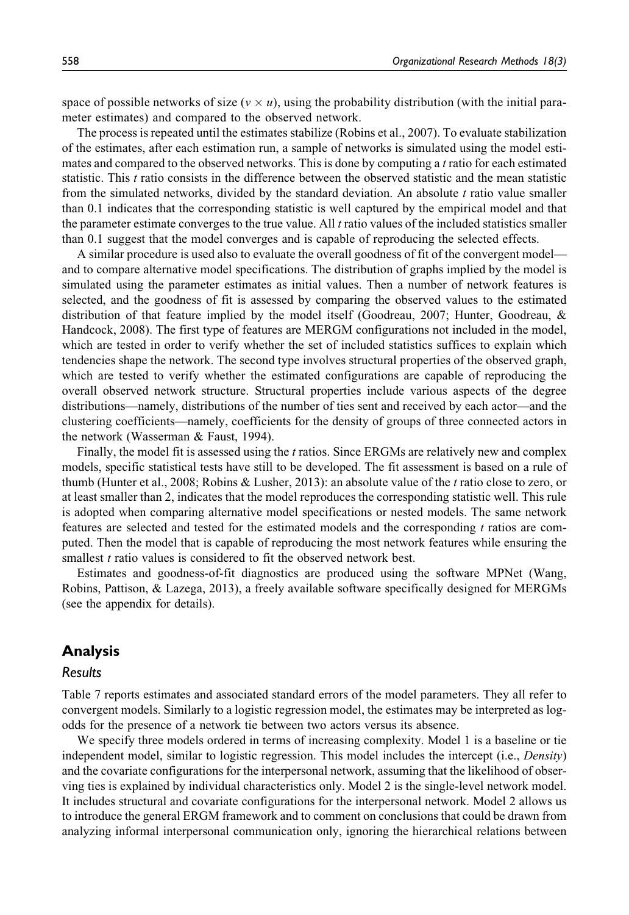space of possible networks of size ( $v \times u$ ), using the probability distribution (with the initial parameter estimates) and compared to the observed network.

The process is repeated until the estimates stabilize (Robins et al., 2007). To evaluate stabilization of the estimates, after each estimation run, a sample of networks is simulated using the model estimates and compared to the observed networks. This is done by computing a t ratio for each estimated statistic. This t ratio consists in the difference between the observed statistic and the mean statistic from the simulated networks, divided by the standard deviation. An absolute t ratio value smaller than 0.1 indicates that the corresponding statistic is well captured by the empirical model and that the parameter estimate converges to the true value. All t ratio values of the included statistics smaller than 0.1 suggest that the model converges and is capable of reproducing the selected effects.

A similar procedure is used also to evaluate the overall goodness of fit of the convergent model and to compare alternative model specifications. The distribution of graphs implied by the model is simulated using the parameter estimates as initial values. Then a number of network features is selected, and the goodness of fit is assessed by comparing the observed values to the estimated distribution of that feature implied by the model itself (Goodreau, 2007; Hunter, Goodreau, & Handcock, 2008). The first type of features are MERGM configurations not included in the model, which are tested in order to verify whether the set of included statistics suffices to explain which tendencies shape the network. The second type involves structural properties of the observed graph, which are tested to verify whether the estimated configurations are capable of reproducing the overall observed network structure. Structural properties include various aspects of the degree distributions—namely, distributions of the number of ties sent and received by each actor—and the clustering coefficients—namely, coefficients for the density of groups of three connected actors in the network (Wasserman & Faust, 1994).

Finally, the model fit is assessed using the t ratios. Since ERGMs are relatively new and complex models, specific statistical tests have still to be developed. The fit assessment is based on a rule of thumb (Hunter et al., 2008; Robins & Lusher, 2013): an absolute value of the t ratio close to zero, or at least smaller than 2, indicates that the model reproduces the corresponding statistic well. This rule is adopted when comparing alternative model specifications or nested models. The same network features are selected and tested for the estimated models and the corresponding  $t$  ratios are computed. Then the model that is capable of reproducing the most network features while ensuring the smallest *t* ratio values is considered to fit the observed network best.

Estimates and goodness-of-fit diagnostics are produced using the software MPNet (Wang, Robins, Pattison, & Lazega, 2013), a freely available software specifically designed for MERGMs (see the appendix for details).

# Analysis

#### Results

Table 7 reports estimates and associated standard errors of the model parameters. They all refer to convergent models. Similarly to a logistic regression model, the estimates may be interpreted as logodds for the presence of a network tie between two actors versus its absence.

We specify three models ordered in terms of increasing complexity. Model 1 is a baseline or tie independent model, similar to logistic regression. This model includes the intercept (i.e., Density) and the covariate configurations for the interpersonal network, assuming that the likelihood of observing ties is explained by individual characteristics only. Model 2 is the single-level network model. It includes structural and covariate configurations for the interpersonal network. Model 2 allows us to introduce the general ERGM framework and to comment on conclusions that could be drawn from analyzing informal interpersonal communication only, ignoring the hierarchical relations between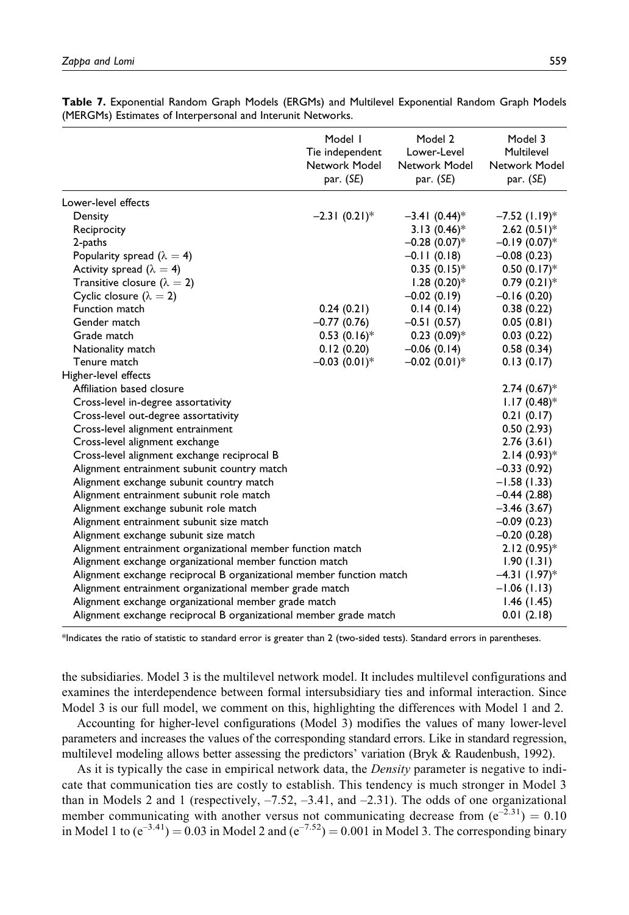|                                                                      | Model I<br>Tie independent<br>Network Model<br>par. (SE) | Model 2<br>Lower-Level<br>Network Model<br>par. (SE) | Model 3<br><b>Multilevel</b><br>Network Model<br>par. (SE) |
|----------------------------------------------------------------------|----------------------------------------------------------|------------------------------------------------------|------------------------------------------------------------|
| Lower-level effects                                                  |                                                          |                                                      |                                                            |
| Density                                                              | $-2.31(0.21)$ <sup>*</sup>                               | $-3.41(0.44)$ <sup>*</sup>                           | $-7.52$ (1.19) <sup>*</sup>                                |
| Reciprocity                                                          |                                                          | $3.13(0.46)*$                                        | $2.62(0.51)$ *                                             |
| 2-paths                                                              |                                                          | $-0.28(0.07)*$                                       | $-0.19(0.07)*$                                             |
| Popularity spread ( $\lambda = 4$ )                                  |                                                          | $-0.11(0.18)$                                        | $-0.08(0.23)$                                              |
| Activity spread ( $\lambda = 4$ )                                    |                                                          | $0.35(0.15)^*$                                       | $0.50(0.17)*$                                              |
| Transitive closure ( $\lambda = 2$ )                                 |                                                          | $1.28(0.20)$ <sup>*</sup>                            | $0.79(0.21)$ <sup>*</sup>                                  |
| Cyclic closure ( $\lambda = 2$ )                                     |                                                          | $-0.02(0.19)$                                        | $-0.16(0.20)$                                              |
| Function match                                                       | 0.24(0.21)                                               | 0.14(0.14)                                           | 0.38(0.22)                                                 |
| Gender match                                                         | $-0.77(0.76)$                                            | $-0.51(0.57)$                                        | 0.05(0.81)                                                 |
| Grade match                                                          | $0.53(0.16)^*$                                           | $0.23(0.09)*$                                        | 0.03(0.22)                                                 |
| Nationality match                                                    | 0.12(0.20)                                               | $-0.06$ (0.14)                                       | 0.58(0.34)                                                 |
| Tenure match                                                         | $-0.03(0.01)$ *                                          | $-0.02(0.01)$ *                                      | 0.13(0.17)                                                 |
| Higher-level effects                                                 |                                                          |                                                      |                                                            |
| Affiliation based closure                                            |                                                          |                                                      | $2.74(0.67)$ <sup>*</sup>                                  |
| Cross-level in-degree assortativity                                  |                                                          |                                                      | $1.17(0.48)$ *                                             |
| Cross-level out-degree assortativity                                 |                                                          |                                                      | 0.21(0.17)                                                 |
| Cross-level alignment entrainment                                    |                                                          |                                                      | 0.50(2.93)                                                 |
| Cross-level alignment exchange                                       |                                                          |                                                      | 2.76(3.61)                                                 |
| Cross-level alignment exchange reciprocal B                          |                                                          |                                                      | $2.14(0.93)*$                                              |
| Alignment entrainment subunit country match                          |                                                          |                                                      | $-0.33(0.92)$                                              |
| Alignment exchange subunit country match                             |                                                          |                                                      | $-1.58(1.33)$                                              |
| Alignment entrainment subunit role match                             |                                                          |                                                      | $-0.44(2.88)$                                              |
| Alignment exchange subunit role match                                |                                                          |                                                      | $-3.46(3.67)$                                              |
| Alignment entrainment subunit size match                             |                                                          |                                                      | $-0.09(0.23)$                                              |
| Alignment exchange subunit size match                                |                                                          |                                                      | $-0.20(0.28)$                                              |
| Alignment entrainment organizational member function match           | $2.12(0.95)*$                                            |                                                      |                                                            |
| Alignment exchange organizational member function match              | 1.90(1.31)                                               |                                                      |                                                            |
| Alignment exchange reciprocal B organizational member function match | $-4.31(1.97)^*$                                          |                                                      |                                                            |
| Alignment entrainment organizational member grade match              |                                                          |                                                      | $-1.06$ (1.13)                                             |
| Alignment exchange organizational member grade match                 |                                                          |                                                      | 1.46(1.45)                                                 |
| Alignment exchange reciprocal B organizational member grade match    |                                                          |                                                      | 0.01(2.18)                                                 |

Table 7. Exponential Random Graph Models (ERGMs) and Multilevel Exponential Random Graph Models (MERGMs) Estimates of Interpersonal and Interunit Networks.

\*Indicates the ratio of statistic to standard error is greater than 2 (two-sided tests). Standard errors in parentheses.

the subsidiaries. Model 3 is the multilevel network model. It includes multilevel configurations and examines the interdependence between formal intersubsidiary ties and informal interaction. Since Model 3 is our full model, we comment on this, highlighting the differences with Model 1 and 2.

Accounting for higher-level configurations (Model 3) modifies the values of many lower-level parameters and increases the values of the corresponding standard errors. Like in standard regression, multilevel modeling allows better assessing the predictors' variation (Bryk & Raudenbush, 1992).

As it is typically the case in empirical network data, the *Density* parameter is negative to indicate that communication ties are costly to establish. This tendency is much stronger in Model 3 than in Models 2 and 1 (respectively,  $-7.52$ ,  $-3.41$ , and  $-2.31$ ). The odds of one organizational member communicating with another versus not communicating decrease from  $(e^{-2.31}) = 0.10$ in Model 1 to  $(e^{-3.41})$  = 0.03 in Model 2 and  $(e^{-7.52})$  = 0.001 in Model 3. The corresponding binary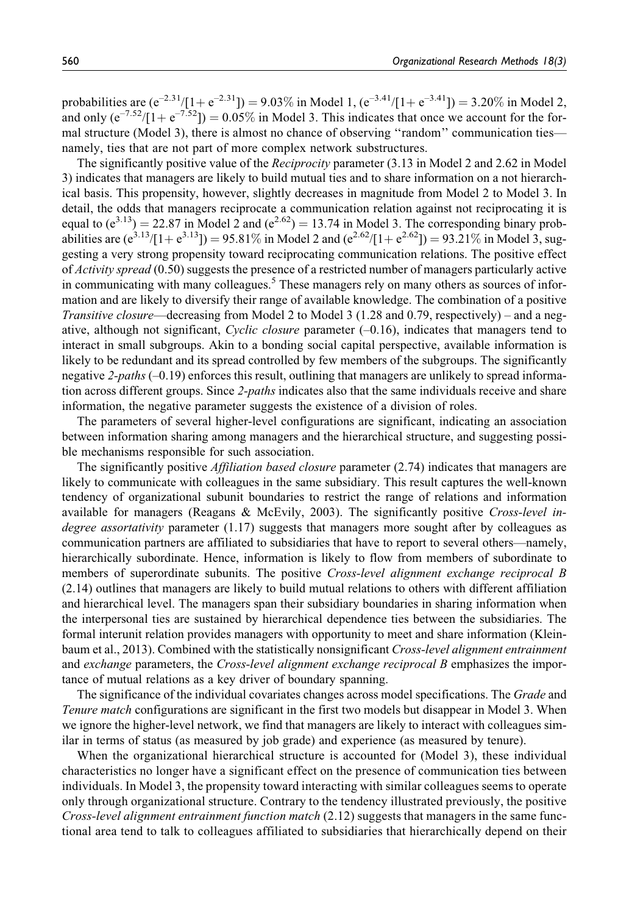probabilities are  $(e^{-2.31}/[1+e^{-2.31}]) = 9.03\%$  in Model 1,  $(e^{-3.41}/[1+e^{-3.41}]) = 3.20\%$  in Model 2, and only  $(e^{-7.52}/[1+e^{-7.52}]) = 0.05\%$  in Model 3. This indicates that once we account for the formal structure (Model 3), there is almost no chance of observing "random" communication ties namely, ties that are not part of more complex network substructures.

The significantly positive value of the *Reciprocity* parameter (3.13 in Model 2 and 2.62 in Model 3) indicates that managers are likely to build mutual ties and to share information on a not hierarchical basis. This propensity, however, slightly decreases in magnitude from Model 2 to Model 3. In detail, the odds that managers reciprocate a communication relation against not reciprocating it is equal to  $(e^{3.13})$  = 22.87 in Model 2 and  $(e^{2.62})$  = 13.74 in Model 3. The corresponding binary probabilities are  $(e^{3.13}/[1+e^{3.13}]) = 95.81\%$  in Model 2 and  $(e^{2.62}/[1+e^{2.62}]) = 93.21\%$  in Model 3, suggesting a very strong propensity toward reciprocating communication relations. The positive effect of Activity spread (0.50) suggests the presence of a restricted number of managers particularly active in communicating with many colleagues.<sup>5</sup> These managers rely on many others as sources of information and are likely to diversify their range of available knowledge. The combination of a positive Transitive closure—decreasing from Model 2 to Model 3 (1.28 and 0.79, respectively) – and a negative, although not significant, Cyclic closure parameter  $(-0.16)$ , indicates that managers tend to interact in small subgroups. Akin to a bonding social capital perspective, available information is likely to be redundant and its spread controlled by few members of the subgroups. The significantly negative 2-paths (–0.19) enforces this result, outlining that managers are unlikely to spread information across different groups. Since 2-*paths* indicates also that the same individuals receive and share information, the negative parameter suggests the existence of a division of roles.

The parameters of several higher-level configurations are significant, indicating an association between information sharing among managers and the hierarchical structure, and suggesting possible mechanisms responsible for such association.

The significantly positive *Affiliation based closure* parameter (2.74) indicates that managers are likely to communicate with colleagues in the same subsidiary. This result captures the well-known tendency of organizational subunit boundaries to restrict the range of relations and information available for managers (Reagans & McEvily, 2003). The significantly positive Cross-level indegree assortativity parameter (1.17) suggests that managers more sought after by colleagues as communication partners are affiliated to subsidiaries that have to report to several others—namely, hierarchically subordinate. Hence, information is likely to flow from members of subordinate to members of superordinate subunits. The positive Cross-level alignment exchange reciprocal B (2.14) outlines that managers are likely to build mutual relations to others with different affiliation and hierarchical level. The managers span their subsidiary boundaries in sharing information when the interpersonal ties are sustained by hierarchical dependence ties between the subsidiaries. The formal interunit relation provides managers with opportunity to meet and share information (Kleinbaum et al., 2013). Combined with the statistically nonsignificant Cross-level alignment entrainment and exchange parameters, the Cross-level alignment exchange reciprocal B emphasizes the importance of mutual relations as a key driver of boundary spanning.

The significance of the individual covariates changes across model specifications. The Grade and Tenure match configurations are significant in the first two models but disappear in Model 3. When we ignore the higher-level network, we find that managers are likely to interact with colleagues similar in terms of status (as measured by job grade) and experience (as measured by tenure).

When the organizational hierarchical structure is accounted for (Model 3), these individual characteristics no longer have a significant effect on the presence of communication ties between individuals. In Model 3, the propensity toward interacting with similar colleagues seems to operate only through organizational structure. Contrary to the tendency illustrated previously, the positive Cross-level alignment entrainment function match (2.12) suggests that managers in the same functional area tend to talk to colleagues affiliated to subsidiaries that hierarchically depend on their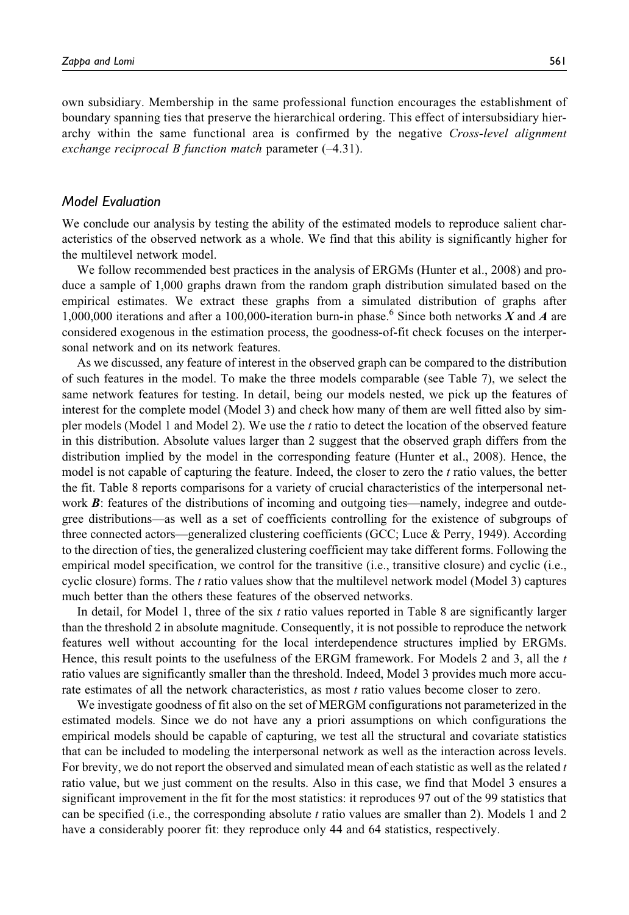own subsidiary. Membership in the same professional function encourages the establishment of boundary spanning ties that preserve the hierarchical ordering. This effect of intersubsidiary hierarchy within the same functional area is confirmed by the negative *Cross-level alignment* exchange reciprocal B function match parameter (–4.31).

# Model Evaluation

We conclude our analysis by testing the ability of the estimated models to reproduce salient characteristics of the observed network as a whole. We find that this ability is significantly higher for the multilevel network model.

We follow recommended best practices in the analysis of ERGMs (Hunter et al., 2008) and produce a sample of 1,000 graphs drawn from the random graph distribution simulated based on the empirical estimates. We extract these graphs from a simulated distribution of graphs after 1,000,000 iterations and after a 100,000-iteration burn-in phase.<sup>6</sup> Since both networks X and A are considered exogenous in the estimation process, the goodness-of-fit check focuses on the interpersonal network and on its network features.

As we discussed, any feature of interest in the observed graph can be compared to the distribution of such features in the model. To make the three models comparable (see Table 7), we select the same network features for testing. In detail, being our models nested, we pick up the features of interest for the complete model (Model 3) and check how many of them are well fitted also by simpler models (Model 1 and Model 2). We use the t ratio to detect the location of the observed feature in this distribution. Absolute values larger than 2 suggest that the observed graph differs from the distribution implied by the model in the corresponding feature (Hunter et al., 2008). Hence, the model is not capable of capturing the feature. Indeed, the closer to zero the t ratio values, the better the fit. Table 8 reports comparisons for a variety of crucial characteristics of the interpersonal network  $\mathbf{B}$ : features of the distributions of incoming and outgoing ties—namely, indegree and outdegree distributions—as well as a set of coefficients controlling for the existence of subgroups of three connected actors—generalized clustering coefficients (GCC; Luce & Perry, 1949). According to the direction of ties, the generalized clustering coefficient may take different forms. Following the empirical model specification, we control for the transitive (i.e., transitive closure) and cyclic (i.e., cyclic closure) forms. The  $t$  ratio values show that the multilevel network model (Model 3) captures much better than the others these features of the observed networks.

In detail, for Model 1, three of the six  $t$  ratio values reported in Table 8 are significantly larger than the threshold 2 in absolute magnitude. Consequently, it is not possible to reproduce the network features well without accounting for the local interdependence structures implied by ERGMs. Hence, this result points to the usefulness of the ERGM framework. For Models 2 and 3, all the t ratio values are significantly smaller than the threshold. Indeed, Model 3 provides much more accurate estimates of all the network characteristics, as most t ratio values become closer to zero.

We investigate goodness of fit also on the set of MERGM configurations not parameterized in the estimated models. Since we do not have any a priori assumptions on which configurations the empirical models should be capable of capturing, we test all the structural and covariate statistics that can be included to modeling the interpersonal network as well as the interaction across levels. For brevity, we do not report the observed and simulated mean of each statistic as well as the related t ratio value, but we just comment on the results. Also in this case, we find that Model 3 ensures a significant improvement in the fit for the most statistics: it reproduces 97 out of the 99 statistics that can be specified (i.e., the corresponding absolute  $t$  ratio values are smaller than 2). Models 1 and 2 have a considerably poorer fit: they reproduce only 44 and 64 statistics, respectively.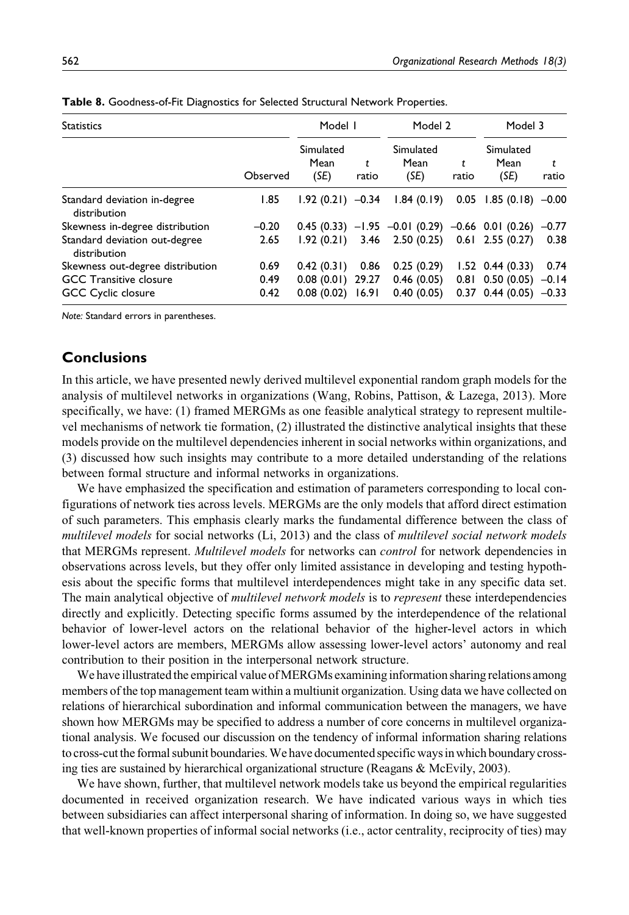| <b>Statistics</b>                                   |              | Model I                                  |            | Model 2                                                          |            | Model 3                                                  |            |
|-----------------------------------------------------|--------------|------------------------------------------|------------|------------------------------------------------------------------|------------|----------------------------------------------------------|------------|
|                                                     | Observed     | Simulated<br>Mean<br>(SE)                | t<br>ratio | Simulated<br>Mean<br>(SE)                                        | t<br>ratio | Simulated<br>Mean<br>(SE)                                | t<br>ratio |
| Standard deviation in-degree<br>distribution        | 1.85         | $1.92(0.21) -0.34$                       |            | 1.84(0.19)                                                       |            | $0.05$ 1.85 (0.18) $-0.00$                               |            |
| Skewness in-degree distribution                     | $-0.20$      |                                          |            | $0.45$ (0.33) $-1.95$ $-0.01$ (0.29) $-0.66$ 0.01 (0.26) $-0.77$ |            |                                                          |            |
| Standard deviation out-degree<br>distribution       | 2.65         | 1.92(0.21)                               |            | $3.46$ $2.50$ (0.25) $0.61$ $2.55$ (0.27)                        |            |                                                          | 0.38       |
| Skewness out-degree distribution                    | 0.69         | 0.42(0.31)                               | 0.86       | 0.25(0.29)                                                       |            | $1.52$ 0.44 (0.33)                                       | 0.74       |
| <b>GCC</b> Transitive closure<br>GCC Cyclic closure | 0.49<br>0.42 | $0.08(0.01)$ 29.27<br>$0.08(0.02)$ 16.91 |            | 0.46(0.05)<br>0.40(0.05)                                         |            | $0.81$ 0.50 (0.05) $-0.14$<br>$0.37$ 0.44 (0.05) $-0.33$ |            |

Table 8. Goodness-of-Fit Diagnostics for Selected Structural Network Properties.

Note: Standard errors in parentheses.

# **Conclusions**

In this article, we have presented newly derived multilevel exponential random graph models for the analysis of multilevel networks in organizations (Wang, Robins, Pattison, & Lazega, 2013). More specifically, we have: (1) framed MERGMs as one feasible analytical strategy to represent multilevel mechanisms of network tie formation, (2) illustrated the distinctive analytical insights that these models provide on the multilevel dependencies inherent in social networks within organizations, and (3) discussed how such insights may contribute to a more detailed understanding of the relations between formal structure and informal networks in organizations.

We have emphasized the specification and estimation of parameters corresponding to local configurations of network ties across levels. MERGMs are the only models that afford direct estimation of such parameters. This emphasis clearly marks the fundamental difference between the class of multilevel models for social networks (Li, 2013) and the class of multilevel social network models that MERGMs represent. Multilevel models for networks can control for network dependencies in observations across levels, but they offer only limited assistance in developing and testing hypothesis about the specific forms that multilevel interdependences might take in any specific data set. The main analytical objective of *multilevel network models* is to *represent* these interdependencies directly and explicitly. Detecting specific forms assumed by the interdependence of the relational behavior of lower-level actors on the relational behavior of the higher-level actors in which lower-level actors are members, MERGMs allow assessing lower-level actors' autonomy and real contribution to their position in the interpersonal network structure.

We have illustrated the empirical value of MERGMs examining information sharing relations among members of the top management team within a multiunit organization. Using data we have collected on relations of hierarchical subordination and informal communication between the managers, we have shown how MERGMs may be specified to address a number of core concerns in multilevel organizational analysis. We focused our discussion on the tendency of informal information sharing relations to cross-cut the formal subunit boundaries. We have documented specific ways in which boundary crossing ties are sustained by hierarchical organizational structure (Reagans & McEvily, 2003).

We have shown, further, that multilevel network models take us beyond the empirical regularities documented in received organization research. We have indicated various ways in which ties between subsidiaries can affect interpersonal sharing of information. In doing so, we have suggested that well-known properties of informal social networks (i.e., actor centrality, reciprocity of ties) may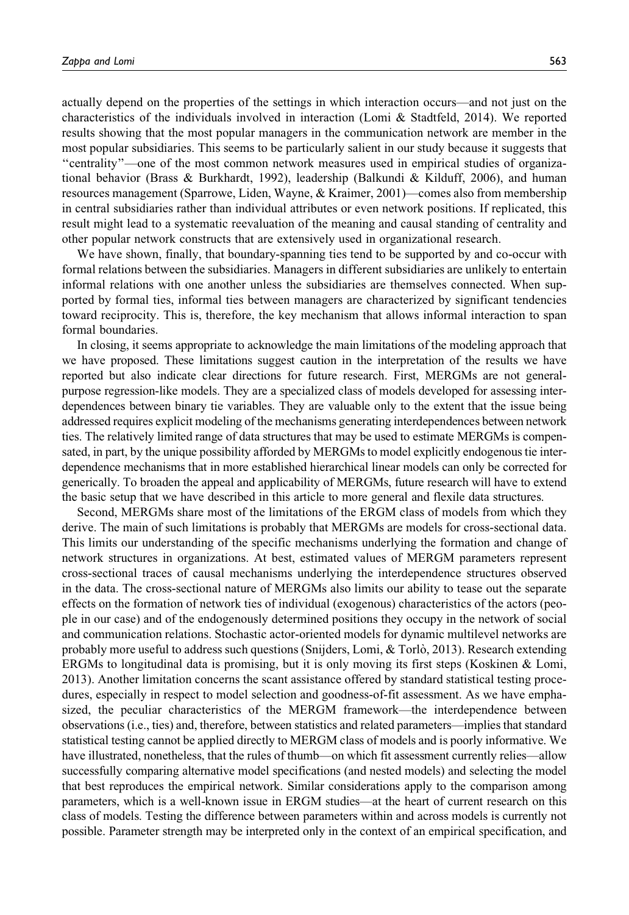actually depend on the properties of the settings in which interaction occurs—and not just on the characteristics of the individuals involved in interaction (Lomi & Stadtfeld, 2014). We reported results showing that the most popular managers in the communication network are member in the most popular subsidiaries. This seems to be particularly salient in our study because it suggests that ''centrality''—one of the most common network measures used in empirical studies of organizational behavior (Brass & Burkhardt, 1992), leadership (Balkundi & Kilduff, 2006), and human resources management (Sparrowe, Liden, Wayne, & Kraimer, 2001)—comes also from membership in central subsidiaries rather than individual attributes or even network positions. If replicated, this result might lead to a systematic reevaluation of the meaning and causal standing of centrality and other popular network constructs that are extensively used in organizational research.

We have shown, finally, that boundary-spanning ties tend to be supported by and co-occur with formal relations between the subsidiaries. Managers in different subsidiaries are unlikely to entertain informal relations with one another unless the subsidiaries are themselves connected. When supported by formal ties, informal ties between managers are characterized by significant tendencies toward reciprocity. This is, therefore, the key mechanism that allows informal interaction to span formal boundaries.

In closing, it seems appropriate to acknowledge the main limitations of the modeling approach that we have proposed. These limitations suggest caution in the interpretation of the results we have reported but also indicate clear directions for future research. First, MERGMs are not generalpurpose regression-like models. They are a specialized class of models developed for assessing interdependences between binary tie variables. They are valuable only to the extent that the issue being addressed requires explicit modeling of the mechanisms generating interdependences between network ties. The relatively limited range of data structures that may be used to estimate MERGMs is compensated, in part, by the unique possibility afforded by MERGMs to model explicitly endogenous tie interdependence mechanisms that in more established hierarchical linear models can only be corrected for generically. To broaden the appeal and applicability of MERGMs, future research will have to extend the basic setup that we have described in this article to more general and flexile data structures.

Second, MERGMs share most of the limitations of the ERGM class of models from which they derive. The main of such limitations is probably that MERGMs are models for cross-sectional data. This limits our understanding of the specific mechanisms underlying the formation and change of network structures in organizations. At best, estimated values of MERGM parameters represent cross-sectional traces of causal mechanisms underlying the interdependence structures observed in the data. The cross-sectional nature of MERGMs also limits our ability to tease out the separate effects on the formation of network ties of individual (exogenous) characteristics of the actors (people in our case) and of the endogenously determined positions they occupy in the network of social and communication relations. Stochastic actor-oriented models for dynamic multilevel networks are probably more useful to address such questions (Snijders, Lomi,  $\&$  Torlò, 2013). Research extending ERGMs to longitudinal data is promising, but it is only moving its first steps (Koskinen & Lomi, 2013). Another limitation concerns the scant assistance offered by standard statistical testing procedures, especially in respect to model selection and goodness-of-fit assessment. As we have emphasized, the peculiar characteristics of the MERGM framework—the interdependence between observations (i.e., ties) and, therefore, between statistics and related parameters—implies that standard statistical testing cannot be applied directly to MERGM class of models and is poorly informative. We have illustrated, nonetheless, that the rules of thumb—on which fit assessment currently relies—allow successfully comparing alternative model specifications (and nested models) and selecting the model that best reproduces the empirical network. Similar considerations apply to the comparison among parameters, which is a well-known issue in ERGM studies—at the heart of current research on this class of models. Testing the difference between parameters within and across models is currently not possible. Parameter strength may be interpreted only in the context of an empirical specification, and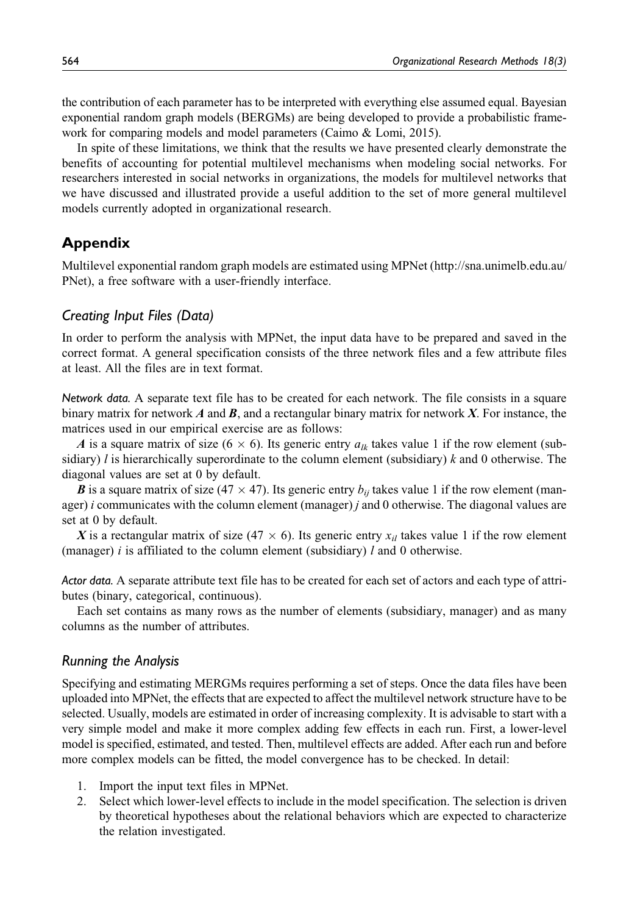the contribution of each parameter has to be interpreted with everything else assumed equal. Bayesian exponential random graph models (BERGMs) are being developed to provide a probabilistic framework for comparing models and model parameters (Caimo & Lomi, 2015).

In spite of these limitations, we think that the results we have presented clearly demonstrate the benefits of accounting for potential multilevel mechanisms when modeling social networks. For researchers interested in social networks in organizations, the models for multilevel networks that we have discussed and illustrated provide a useful addition to the set of more general multilevel models currently adopted in organizational research.

# Appendix

Multilevel exponential random graph models are estimated using MPNet (http://sna.unimelb.edu.au/ PNet), a free software with a user-friendly interface.

# Creating Input Files (Data)

In order to perform the analysis with MPNet, the input data have to be prepared and saved in the correct format. A general specification consists of the three network files and a few attribute files at least. All the files are in text format.

Network data. A separate text file has to be created for each network. The file consists in a square binary matrix for network  $\vec{A}$  and  $\vec{B}$ , and a rectangular binary matrix for network  $\vec{X}$ . For instance, the matrices used in our empirical exercise are as follows:

A is a square matrix of size (6  $\times$  6). Its generic entry  $a_{lk}$  takes value 1 if the row element (subsidiary) l is hierarchically superordinate to the column element (subsidiary) k and 0 otherwise. The diagonal values are set at 0 by default.

**B** is a square matrix of size (47  $\times$  47). Its generic entry  $b_{ij}$  takes value 1 if the row element (manager) *i* communicates with the column element (manager)  $j$  and 0 otherwise. The diagonal values are set at 0 by default.

X is a rectangular matrix of size (47  $\times$  6). Its generic entry  $x_{il}$  takes value 1 if the row element (manager)  $i$  is affiliated to the column element (subsidiary)  $l$  and 0 otherwise.

Actor data. A separate attribute text file has to be created for each set of actors and each type of attributes (binary, categorical, continuous).

Each set contains as many rows as the number of elements (subsidiary, manager) and as many columns as the number of attributes.

# Running the Analysis

Specifying and estimating MERGMs requires performing a set of steps. Once the data files have been uploaded into MPNet, the effects that are expected to affect the multilevel network structure have to be selected. Usually, models are estimated in order of increasing complexity. It is advisable to start with a very simple model and make it more complex adding few effects in each run. First, a lower-level model is specified, estimated, and tested. Then, multilevel effects are added. After each run and before more complex models can be fitted, the model convergence has to be checked. In detail:

- 1. Import the input text files in MPNet.
- 2. Select which lower-level effects to include in the model specification. The selection is driven by theoretical hypotheses about the relational behaviors which are expected to characterize the relation investigated.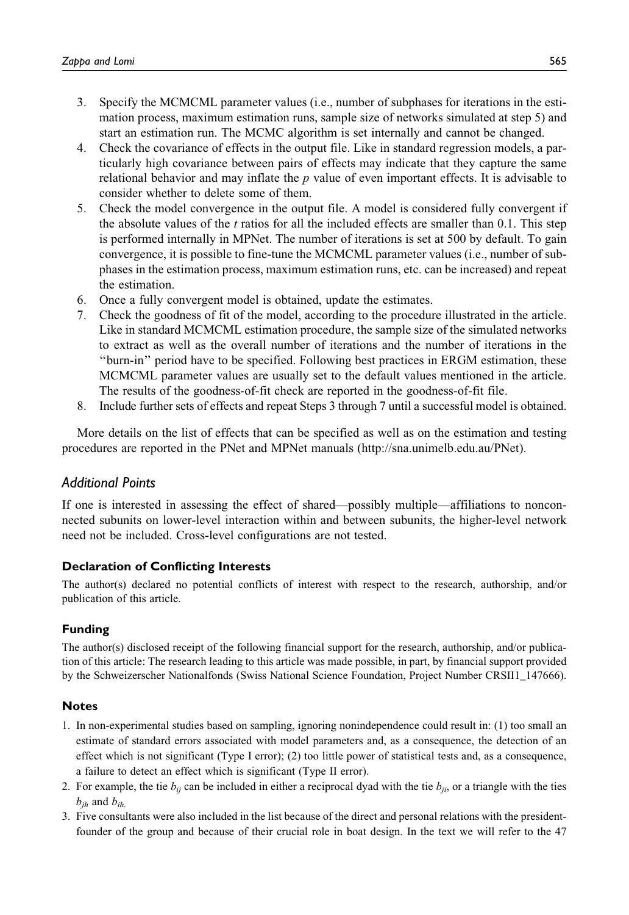- 3. Specify the MCMCML parameter values (i.e., number of subphases for iterations in the estimation process, maximum estimation runs, sample size of networks simulated at step 5) and start an estimation run. The MCMC algorithm is set internally and cannot be changed.
- 4. Check the covariance of effects in the output file. Like in standard regression models, a particularly high covariance between pairs of effects may indicate that they capture the same relational behavior and may inflate the  $p$  value of even important effects. It is advisable to consider whether to delete some of them.
- 5. Check the model convergence in the output file. A model is considered fully convergent if the absolute values of the  $t$  ratios for all the included effects are smaller than 0.1. This step is performed internally in MPNet. The number of iterations is set at 500 by default. To gain convergence, it is possible to fine-tune the MCMCML parameter values (i.e., number of subphases in the estimation process, maximum estimation runs, etc. can be increased) and repeat the estimation.
- 6. Once a fully convergent model is obtained, update the estimates.
- 7. Check the goodness of fit of the model, according to the procedure illustrated in the article. Like in standard MCMCML estimation procedure, the sample size of the simulated networks to extract as well as the overall number of iterations and the number of iterations in the ''burn-in'' period have to be specified. Following best practices in ERGM estimation, these MCMCML parameter values are usually set to the default values mentioned in the article. The results of the goodness-of-fit check are reported in the goodness-of-fit file.
- 8. Include further sets of effects and repeat Steps 3 through 7 until a successful model is obtained.

More details on the list of effects that can be specified as well as on the estimation and testing procedures are reported in the PNet and MPNet manuals ([http://sna.unimelb.edu.au/PNet\)](http://sna.unimelb.edu.au/PNet).

# Additional Points

If one is interested in assessing the effect of shared—possibly multiple—affiliations to nonconnected subunits on lower-level interaction within and between subunits, the higher-level network need not be included. Cross-level configurations are not tested.

#### Declaration of Conflicting Interests

The author(s) declared no potential conflicts of interest with respect to the research, authorship, and/or publication of this article.

#### Funding

The author(s) disclosed receipt of the following financial support for the research, authorship, and/or publication of this article: The research leading to this article was made possible, in part, by financial support provided by the Schweizerscher Nationalfonds (Swiss National Science Foundation, Project Number CRSII1\_147666).

#### **Notes**

- 1. In non-experimental studies based on sampling, ignoring nonindependence could result in: (1) too small an estimate of standard errors associated with model parameters and, as a consequence, the detection of an effect which is not significant (Type I error); (2) too little power of statistical tests and, as a consequence, a failure to detect an effect which is significant (Type II error).
- 2. For example, the tie  $b_{ij}$  can be included in either a reciprocal dyad with the tie  $b_{ij}$ , or a triangle with the ties  $b_{ih}$  and  $b_{ih}$ .
- 3. Five consultants were also included in the list because of the direct and personal relations with the presidentfounder of the group and because of their crucial role in boat design. In the text we will refer to the 47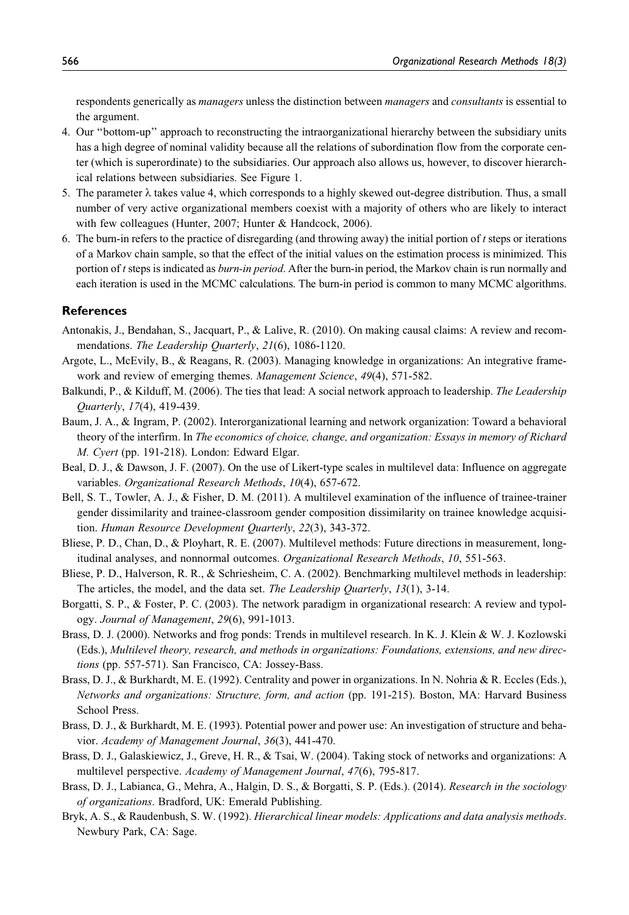respondents generically as *managers* unless the distinction between *managers* and *consultants* is essential to the argument.

- 4. Our ''bottom-up'' approach to reconstructing the intraorganizational hierarchy between the subsidiary units has a high degree of nominal validity because all the relations of subordination flow from the corporate center (which is superordinate) to the subsidiaries. Our approach also allows us, however, to discover hierarchical relations between subsidiaries. See Figure 1.
- 5. The parameter  $\lambda$  takes value 4, which corresponds to a highly skewed out-degree distribution. Thus, a small number of very active organizational members coexist with a majority of others who are likely to interact with few colleagues (Hunter, 2007; Hunter & Handcock, 2006).
- 6. The burn-in refers to the practice of disregarding (and throwing away) the initial portion of  $t$  steps or iterations of a Markov chain sample, so that the effect of the initial values on the estimation process is minimized. This portion of t steps is indicated as burn-in period. After the burn-in period, the Markov chain is run normally and each iteration is used in the MCMC calculations. The burn-in period is common to many MCMC algorithms.

#### **References**

- Antonakis, J., Bendahan, S., Jacquart, P., & Lalive, R. (2010). On making causal claims: A review and recommendations. The Leadership Quarterly, 21(6), 1086-1120.
- Argote, L., McEvily, B., & Reagans, R. (2003). Managing knowledge in organizations: An integrative framework and review of emerging themes. Management Science, 49(4), 571-582.
- Balkundi, P., & Kilduff, M. (2006). The ties that lead: A social network approach to leadership. The Leadership Quarterly, 17(4), 419-439.
- Baum, J. A., & Ingram, P. (2002). Interorganizational learning and network organization: Toward a behavioral theory of the interfirm. In The economics of choice, change, and organization: Essays in memory of Richard M. Cyert (pp. 191-218). London: Edward Elgar.
- Beal, D. J., & Dawson, J. F. (2007). On the use of Likert-type scales in multilevel data: Influence on aggregate variables. Organizational Research Methods, 10(4), 657-672.
- Bell, S. T., Towler, A. J., & Fisher, D. M. (2011). A multilevel examination of the influence of trainee-trainer gender dissimilarity and trainee-classroom gender composition dissimilarity on trainee knowledge acquisition. Human Resource Development Quarterly, 22(3), 343-372.
- Bliese, P. D., Chan, D., & Ployhart, R. E. (2007). Multilevel methods: Future directions in measurement, longitudinal analyses, and nonnormal outcomes. Organizational Research Methods, 10, 551-563.
- Bliese, P. D., Halverson, R. R., & Schriesheim, C. A. (2002). Benchmarking multilevel methods in leadership: The articles, the model, and the data set. The Leadership Quarterly, 13(1), 3-14.
- Borgatti, S. P., & Foster, P. C. (2003). The network paradigm in organizational research: A review and typology. Journal of Management, 29(6), 991-1013.
- Brass, D. J. (2000). Networks and frog ponds: Trends in multilevel research. In K. J. Klein & W. J. Kozlowski (Eds.), Multilevel theory, research, and methods in organizations: Foundations, extensions, and new directions (pp. 557-571). San Francisco, CA: Jossey-Bass.
- Brass, D. J., & Burkhardt, M. E. (1992). Centrality and power in organizations. In N. Nohria & R. Eccles (Eds.), Networks and organizations: Structure, form, and action (pp. 191-215). Boston, MA: Harvard Business School Press.
- Brass, D. J., & Burkhardt, M. E. (1993). Potential power and power use: An investigation of structure and behavior. Academy of Management Journal, 36(3), 441-470.
- Brass, D. J., Galaskiewicz, J., Greve, H. R., & Tsai, W. (2004). Taking stock of networks and organizations: A multilevel perspective. Academy of Management Journal, 47(6), 795-817.
- Brass, D. J., Labianca, G., Mehra, A., Halgin, D. S., & Borgatti, S. P. (Eds.). (2014). Research in the sociology of organizations. Bradford, UK: Emerald Publishing.
- Bryk, A. S., & Raudenbush, S. W. (1992). Hierarchical linear models: Applications and data analysis methods. Newbury Park, CA: Sage.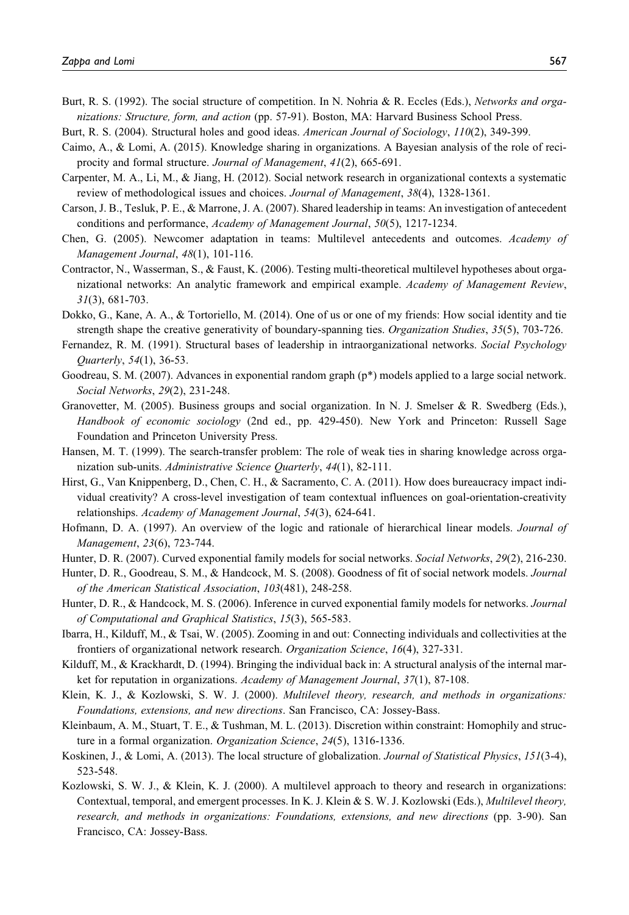- Burt, R. S. (1992). The social structure of competition. In N. Nohria & R. Eccles (Eds.), Networks and organizations: Structure, form, and action (pp. 57-91). Boston, MA: Harvard Business School Press.
- Burt, R. S. (2004). Structural holes and good ideas. American Journal of Sociology, 110(2), 349-399.
- Caimo, A., & Lomi, A. (2015). Knowledge sharing in organizations. A Bayesian analysis of the role of reciprocity and formal structure. Journal of Management, 41(2), 665-691.
- Carpenter, M. A., Li, M., & Jiang, H. (2012). Social network research in organizational contexts a systematic review of methodological issues and choices. Journal of Management, 38(4), 1328-1361.
- Carson, J. B., Tesluk, P. E., & Marrone, J. A. (2007). Shared leadership in teams: An investigation of antecedent conditions and performance, Academy of Management Journal, 50(5), 1217-1234.
- Chen, G. (2005). Newcomer adaptation in teams: Multilevel antecedents and outcomes. Academy of Management Journal, 48(1), 101-116.
- Contractor, N., Wasserman, S., & Faust, K. (2006). Testing multi-theoretical multilevel hypotheses about organizational networks: An analytic framework and empirical example. Academy of Management Review, 31(3), 681-703.
- Dokko, G., Kane, A. A., & Tortoriello, M. (2014). One of us or one of my friends: How social identity and tie strength shape the creative generativity of boundary-spanning ties. Organization Studies, 35(5), 703-726.
- Fernandez, R. M. (1991). Structural bases of leadership in intraorganizational networks. Social Psychology Quarterly, 54(1), 36-53.
- Goodreau, S. M. (2007). Advances in exponential random graph (p\*) models applied to a large social network. Social Networks, 29(2), 231-248.
- Granovetter, M. (2005). Business groups and social organization. In N. J. Smelser & R. Swedberg (Eds.), Handbook of economic sociology (2nd ed., pp. 429-450). New York and Princeton: Russell Sage Foundation and Princeton University Press.
- Hansen, M. T. (1999). The search-transfer problem: The role of weak ties in sharing knowledge across organization sub-units. Administrative Science Quarterly, 44(1), 82-111.
- Hirst, G., Van Knippenberg, D., Chen, C. H., & Sacramento, C. A. (2011). How does bureaucracy impact individual creativity? A cross-level investigation of team contextual influences on goal-orientation-creativity relationships. Academy of Management Journal, 54(3), 624-641.
- Hofmann, D. A. (1997). An overview of the logic and rationale of hierarchical linear models. Journal of Management, 23(6), 723-744.
- Hunter, D. R. (2007). Curved exponential family models for social networks. Social Networks, 29(2), 216-230.
- Hunter, D. R., Goodreau, S. M., & Handcock, M. S. (2008). Goodness of fit of social network models. *Journal* of the American Statistical Association, 103(481), 248-258.
- Hunter, D. R., & Handcock, M. S. (2006). Inference in curved exponential family models for networks. *Journal* of Computational and Graphical Statistics, 15(3), 565-583.
- Ibarra, H., Kilduff, M., & Tsai, W. (2005). Zooming in and out: Connecting individuals and collectivities at the frontiers of organizational network research. Organization Science, 16(4), 327-331.
- Kilduff, M., & Krackhardt, D. (1994). Bringing the individual back in: A structural analysis of the internal market for reputation in organizations. Academy of Management Journal, 37(1), 87-108.
- Klein, K. J., & Kozlowski, S. W. J. (2000). Multilevel theory, research, and methods in organizations: Foundations, extensions, and new directions. San Francisco, CA: Jossey-Bass.
- Kleinbaum, A. M., Stuart, T. E., & Tushman, M. L. (2013). Discretion within constraint: Homophily and structure in a formal organization. Organization Science, 24(5), 1316-1336.
- Koskinen, J., & Lomi, A. (2013). The local structure of globalization. Journal of Statistical Physics, 151(3-4), 523-548.
- Kozlowski, S. W. J., & Klein, K. J. (2000). A multilevel approach to theory and research in organizations: Contextual, temporal, and emergent processes. In K. J. Klein & S. W. J. Kozlowski (Eds.), Multilevel theory, research, and methods in organizations: Foundations, extensions, and new directions (pp. 3-90). San Francisco, CA: Jossey-Bass.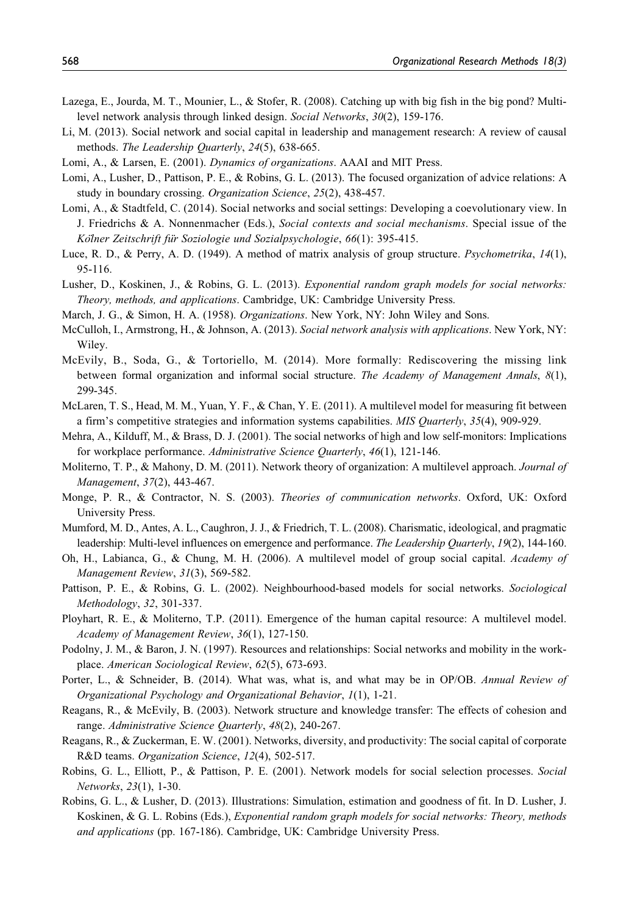- Lazega, E., Jourda, M. T., Mounier, L., & Stofer, R. (2008). Catching up with big fish in the big pond? Multilevel network analysis through linked design. Social Networks, 30(2), 159-176.
- Li, M. (2013). Social network and social capital in leadership and management research: A review of causal methods. The Leadership Quarterly, 24(5), 638-665.
- Lomi, A., & Larsen, E. (2001). Dynamics of organizations. AAAI and MIT Press.
- Lomi, A., Lusher, D., Pattison, P. E., & Robins, G. L. (2013). The focused organization of advice relations: A study in boundary crossing. Organization Science, 25(2), 438-457.
- Lomi, A., & Stadtfeld, C. (2014). Social networks and social settings: Developing a coevolutionary view. In J. Friedrichs & A. Nonnenmacher (Eds.), Social contexts and social mechanisms. Special issue of the Kölner Zeitschrift für Soziologie und Sozialpsychologie, 66(1): 395-415.
- Luce, R. D., & Perry, A. D. (1949). A method of matrix analysis of group structure. Psychometrika, 14(1), 95-116.
- Lusher, D., Koskinen, J., & Robins, G. L. (2013). Exponential random graph models for social networks: Theory, methods, and applications. Cambridge, UK: Cambridge University Press.
- March, J. G., & Simon, H. A. (1958). Organizations. New York, NY: John Wiley and Sons.
- McCulloh, I., Armstrong, H., & Johnson, A. (2013). Social network analysis with applications. New York, NY: Wiley.
- McEvily, B., Soda, G., & Tortoriello, M. (2014). More formally: Rediscovering the missing link between formal organization and informal social structure. The Academy of Management Annals, 8(1), 299-345.
- McLaren, T. S., Head, M. M., Yuan, Y. F., & Chan, Y. E. (2011). A multilevel model for measuring fit between a firm's competitive strategies and information systems capabilities. MIS Quarterly, 35(4), 909-929.
- Mehra, A., Kilduff, M., & Brass, D. J. (2001). The social networks of high and low self-monitors: Implications for workplace performance. Administrative Science Quarterly, 46(1), 121-146.
- Moliterno, T. P., & Mahony, D. M. (2011). Network theory of organization: A multilevel approach. Journal of Management, 37(2), 443-467.
- Monge, P. R., & Contractor, N. S. (2003). Theories of communication networks. Oxford, UK: Oxford University Press.
- Mumford, M. D., Antes, A. L., Caughron, J. J., & Friedrich, T. L. (2008). Charismatic, ideological, and pragmatic leadership: Multi-level influences on emergence and performance. The Leadership Quarterly, 19(2), 144-160.
- Oh, H., Labianca, G., & Chung, M. H. (2006). A multilevel model of group social capital. Academy of Management Review, 31(3), 569-582.
- Pattison, P. E., & Robins, G. L. (2002). Neighbourhood-based models for social networks. Sociological Methodology, 32, 301-337.
- Ployhart, R. E., & Moliterno, T.P. (2011). Emergence of the human capital resource: A multilevel model. Academy of Management Review, 36(1), 127-150.
- Podolny, J. M., & Baron, J. N. (1997). Resources and relationships: Social networks and mobility in the workplace. American Sociological Review, 62(5), 673-693.
- Porter, L., & Schneider, B. (2014). What was, what is, and what may be in OP/OB. Annual Review of Organizational Psychology and Organizational Behavior, 1(1), 1-21.
- Reagans, R., & McEvily, B. (2003). Network structure and knowledge transfer: The effects of cohesion and range. Administrative Science Quarterly, 48(2), 240-267.
- Reagans, R., & Zuckerman, E. W. (2001). Networks, diversity, and productivity: The social capital of corporate R&D teams. Organization Science, 12(4), 502-517.
- Robins, G. L., Elliott, P., & Pattison, P. E. (2001). Network models for social selection processes. Social Networks, 23(1), 1-30.
- Robins, G. L., & Lusher, D. (2013). Illustrations: Simulation, estimation and goodness of fit. In D. Lusher, J. Koskinen, & G. L. Robins (Eds.), Exponential random graph models for social networks: Theory, methods and applications (pp. 167-186). Cambridge, UK: Cambridge University Press.